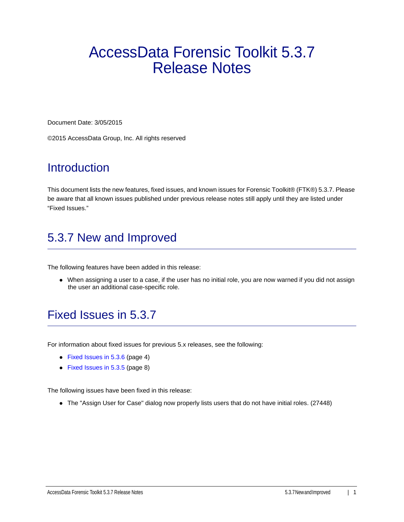# AccessData Forensic Toolkit 5.3.7 Release Notes

Document Date: 3/05/2015

©2015 AccessData Group, Inc. All rights reserved

## **Introduction**

This document lists the new features, fixed issues, and known issues for Forensic Toolkit® (FTK®) 5.3.7. Please be aware that all known issues published under previous release notes still apply until they are listed under "Fixed Issues."

## 5.3.7 New and Improved

The following features have been added in this release:

• When assigning a user to a case, if the user has no initial role, you are now warned if you did not assign the user an additional case-specific role.

## Fixed Issues in 5.3.7

For information about fixed issues for previous 5.x releases, see the following:

- [Fixed Issues in 5.3.6 \(page 4\)](#page-3-0)
- [Fixed Issues in 5.3.5 \(page 8\)](#page-7-0)

The following issues have been fixed in this release:

• The "Assign User for Case" dialog now properly lists users that do not have initial roles. (27448)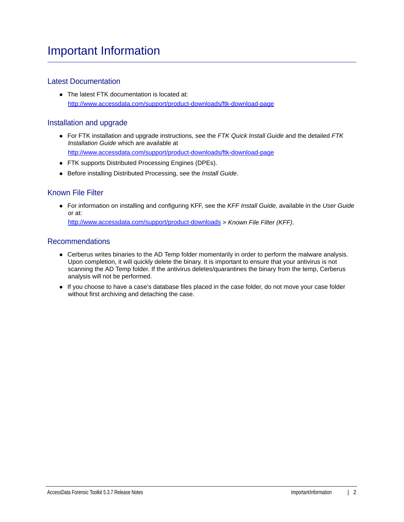## Important Information

## Latest Documentation

• The latest FTK documentation is located at: http://www.accessdata.com/support/product-downloads/ftk-download-page

## Installation and upgrade

- For FTK installation and upgrade instructions, see the *FTK Quick Install Guide* and the detailed *FTK Installation Guide* which are available at http://www.accessdata.com/support/product-downloads/ftk-download-page
- FTK supports Distributed Processing Engines (DPEs).
- Before installing Distributed Processing, see the *Install Guide*.

### Known File Filter

For information on installing and configuring KFF, see the *KFF Install Guide*, available in the *User Guide* or at:

<http://www.accessdata.com/support/product-downloads>> *Known File Filter (KFF)*.

### Recommendations

- Cerberus writes binaries to the AD Temp folder momentarily in order to perform the malware analysis. Upon completion, it will quickly delete the binary. It is important to ensure that your antivirus is not scanning the AD Temp folder. If the antivirus deletes/quarantines the binary from the temp, Cerberus analysis will not be performed.
- If you choose to have a case's database files placed in the case folder, do not move your case folder without first archiving and detaching the case.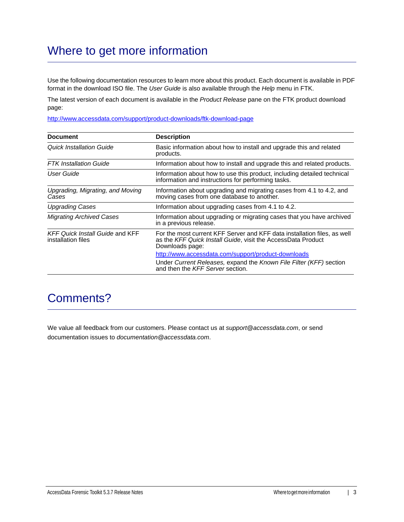## Where to get more information

Use the following documentation resources to learn more about this product. Each document is available in PDF format in the download ISO file. The *User Guide* is also available through the *Help* menu in FTK.

The latest version of each document is available in the *Product Release* pane on the FTK product download page:

http://www.accessdata.com/support/product-downloads/ftk-download-page

| <b>Document</b>                                              | <b>Description</b>                                                                                                                                          |
|--------------------------------------------------------------|-------------------------------------------------------------------------------------------------------------------------------------------------------------|
| <b>Quick Installation Guide</b>                              | Basic information about how to install and upgrade this and related<br>products.                                                                            |
| <b>FTK</b> Installation Guide                                | Information about how to install and upgrade this and related products.                                                                                     |
| User Guide                                                   | Information about how to use this product, including detailed technical<br>information and instructions for performing tasks.                               |
| Upgrading, Migrating, and Moving<br>Cases                    | Information about upgrading and migrating cases from 4.1 to 4.2, and<br>moving cases from one database to another.                                          |
| <b>Upgrading Cases</b>                                       | Information about upgrading cases from 4.1 to 4.2.                                                                                                          |
| <b>Migrating Archived Cases</b>                              | Information about upgrading or migrating cases that you have archived<br>in a previous release.                                                             |
| <b>KFF Quick Install Guide and KFF</b><br>installation files | For the most current KFF Server and KFF data installation files, as well<br>as the KFF Quick Install Guide, visit the AccessData Product<br>Downloads page: |
|                                                              | http://www.accessdata.com/support/product-downloads                                                                                                         |
|                                                              | Under Current Releases, expand the Known File Filter (KFF) section<br>and then the KFF Server section.                                                      |

## Comments?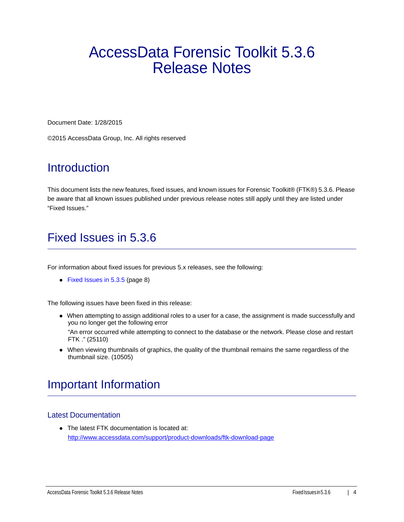# AccessData Forensic Toolkit 5.3.6 Release Notes

Document Date: 1/28/2015

©2015 AccessData Group, Inc. All rights reserved

## **Introduction**

This document lists the new features, fixed issues, and known issues for Forensic Toolkit® (FTK®) 5.3.6. Please be aware that all known issues published under previous release notes still apply until they are listed under "Fixed Issues."

## <span id="page-3-0"></span>Fixed Issues in 5.3.6

For information about fixed issues for previous 5.x releases, see the following:

• [Fixed Issues in 5.3.5 \(page 8\)](#page-7-0)

The following issues have been fixed in this release:

When attempting to assign additional roles to a user for a case, the assignment is made successfully and you no longer get the following error

"An error occurred while attempting to connect to the database or the network. Please close and restart FTK ." (25110)

When viewing thumbnails of graphics, the quality of the thumbnail remains the same regardless of the thumbnail size. (10505)

## Important Information

### Latest Documentation

The latest FTK documentation is located at: http://www.accessdata.com/support/product-downloads/ftk-download-page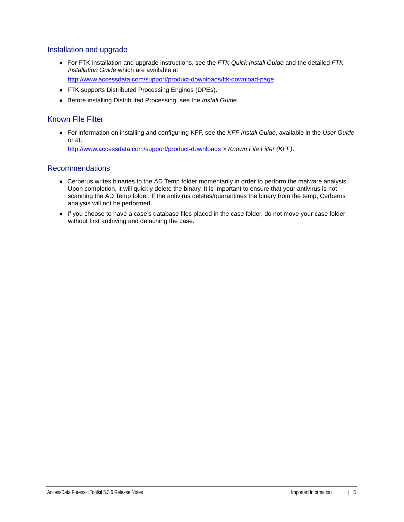### Installation and upgrade

- For FTK installation and upgrade instructions, see the *FTK Quick Install Guide* and the detailed *FTK Installation Guide* which are available at http://www.accessdata.com/support/product-downloads/ftk-download-page
- FTK supports Distributed Processing Engines (DPEs).
- Before installing Distributed Processing, see the *Install Guide*.

## Known File Filter

For information on installing and configuring KFF, see the *KFF Install Guide*, available in the *User Guide* or at: <http://www.accessdata.com/support/product-downloads>> *Known File Filter (KFF)*.

Recommendations

- Cerberus writes binaries to the AD Temp folder momentarily in order to perform the malware analysis. Upon completion, it will quickly delete the binary. It is important to ensure that your antivirus is not scanning the AD Temp folder. If the antivirus deletes/quarantines the binary from the temp, Cerberus analysis will not be performed.
- If you choose to have a case's database files placed in the case folder, do not move your case folder without first archiving and detaching the case.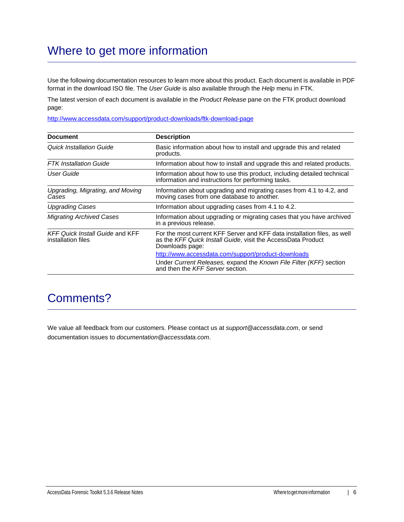## Where to get more information

Use the following documentation resources to learn more about this product. Each document is available in PDF format in the download ISO file. The *User Guide* is also available through the *Help* menu in FTK.

The latest version of each document is available in the *Product Release* pane on the FTK product download page:

http://www.accessdata.com/support/product-downloads/ftk-download-page

| <b>Document</b>                                              | <b>Description</b>                                                                                                                                          |
|--------------------------------------------------------------|-------------------------------------------------------------------------------------------------------------------------------------------------------------|
| Quick Installation Guide                                     | Basic information about how to install and upgrade this and related<br>products.                                                                            |
| <b>FTK</b> Installation Guide                                | Information about how to install and upgrade this and related products.                                                                                     |
| User Guide                                                   | Information about how to use this product, including detailed technical<br>information and instructions for performing tasks.                               |
| Upgrading, Migrating, and Moving<br>Cases                    | Information about upgrading and migrating cases from 4.1 to 4.2, and<br>moving cases from one database to another.                                          |
| <b>Upgrading Cases</b>                                       | Information about upgrading cases from 4.1 to 4.2.                                                                                                          |
| <b>Migrating Archived Cases</b>                              | Information about upgrading or migrating cases that you have archived<br>in a previous release.                                                             |
| <b>KFF Quick Install Guide and KFF</b><br>installation files | For the most current KFF Server and KFF data installation files, as well<br>as the KFF Quick Install Guide, visit the AccessData Product<br>Downloads page: |
|                                                              | http://www.accessdata.com/support/product-downloads                                                                                                         |
|                                                              | Under Current Releases, expand the Known File Filter (KFF) section<br>and then the KFF Server section.                                                      |

## Comments?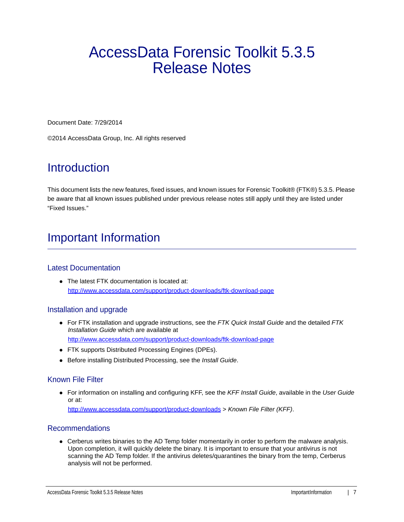# AccessData Forensic Toolkit 5.3.5 Release Notes

Document Date: 7/29/2014

©2014 AccessData Group, Inc. All rights reserved

## **Introduction**

This document lists the new features, fixed issues, and known issues for Forensic Toolkit® (FTK®) 5.3.5. Please be aware that all known issues published under previous release notes still apply until they are listed under "Fixed Issues."

## Important Information

### Latest Documentation

• The latest FTK documentation is located at: http://www.accessdata.com/support/product-downloads/ftk-download-page

### Installation and upgrade

- For FTK installation and upgrade instructions, see the *FTK Quick Install Guide* and the detailed *FTK Installation Guide* which are available at http://www.accessdata.com/support/product-downloads/ftk-download-page
- FTK supports Distributed Processing Engines (DPEs).
- Before installing Distributed Processing, see the *Install Guide*.

#### Known File Filter

For information on installing and configuring KFF, see the *KFF Install Guide*, available in the *User Guide* or at: <http://www.accessdata.com/support/product-downloads>> *Known File Filter (KFF)*.

#### Recommendations

Cerberus writes binaries to the AD Temp folder momentarily in order to perform the malware analysis. Upon completion, it will quickly delete the binary. It is important to ensure that your antivirus is not scanning the AD Temp folder. If the antivirus deletes/quarantines the binary from the temp, Cerberus analysis will not be performed.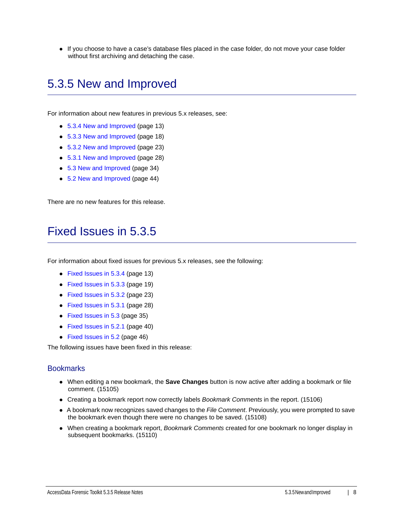If you choose to have a case's database files placed in the case folder, do not move your case folder without first archiving and detaching the case.

## 5.3.5 New and Improved

For information about new features in previous 5.x releases, see:

- [5.3.4 New and Improved \(page 13\)](#page-12-0)
- [5.3.3 New and Improved \(page 18\)](#page-17-0)
- [5.3.2 New and Improved \(page 23\)](#page-22-0)
- [5.3.1 New and Improved \(page 28\)](#page-27-0)
- [5.3 New and Improved \(page 34\)](#page-33-0)
- [5.2 New and Improved \(page 44\)](#page-43-0)

There are no new features for this release.

## <span id="page-7-0"></span>Fixed Issues in 5.3.5

For information about fixed issues for previous 5.x releases, see the following:

- [Fixed Issues in 5.3.4 \(page 13\)](#page-12-1)
- [Fixed Issues in 5.3.3 \(page 19\)](#page-18-0)
- [Fixed Issues in 5.3.2 \(page 23\)](#page-22-1)
- [Fixed Issues in 5.3.1 \(page 28\)](#page-27-1)
- [Fixed Issues in 5.3 \(page 35\)](#page-34-0)
- [Fixed Issues in 5.2.1 \(page 40\)](#page-39-0)
- [Fixed Issues in 5.2 \(page 46\)](#page-45-0)

The following issues have been fixed in this release:

#### **Bookmarks**

- When editing a new bookmark, the **Save Changes** button is now active after adding a bookmark or file comment. (15105)
- Creating a bookmark report now correctly labels *Bookmark Comments* in the report. (15106)
- A bookmark now recognizes saved changes to the *File Comment*. Previously, you were prompted to save the bookmark even though there were no changes to be saved. (15108)
- When creating a bookmark report, *Bookmark Comments* created for one bookmark no longer display in subsequent bookmarks. (15110)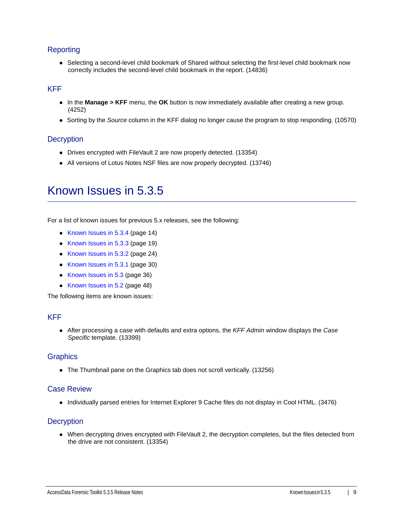## Reporting

• Selecting a second-level child bookmark of Shared without selecting the first-level child bookmark now correctly includes the second-level child bookmark in the report. (14836)

### KFF

- In the **Manage > KFF** menu, the **OK** button is now immediately available after creating a new group. (4252)
- Sorting by the *Source* column in the KFF dialog no longer cause the program to stop responding. (10570)

#### **Decryption**

- Drives encrypted with FileVault 2 are now properly detected. (13354)
- All versions of Lotus Notes NSF files are now properly decrypted. (13746)

## Known Issues in 5.3.5

For a list of known issues for previous 5.x releases, see the following:

- [Known Issues in 5.3.4 \(page 14\)](#page-13-0)
- [Known Issues in 5.3.3 \(page 19\)](#page-18-1)
- [Known Issues in 5.3.2 \(page 24\)](#page-23-0)
- [Known Issues in 5.3.1 \(page 30\)](#page-29-0)
- [Known Issues in 5.3 \(page 36\)](#page-35-0)
- [Known Issues in 5.2 \(page 48\)](#page-47-0)

The following items are known issues:

### KFF

After processing a case with defaults and extra options, the *KFF Admin* window displays the *Case Specific* template. (13399)

#### **Graphics**

The Thumbnail pane on the Graphics tab does not scroll vertically. (13256)

#### Case Review

Individually parsed entries for Internet Explorer 9 Cache files do not display in Cool HTML. (3476)

#### **Decryption**

When decrypting drives encrypted with FileVault 2, the decryption completes, but the files detected from the drive are not consistent. (13354)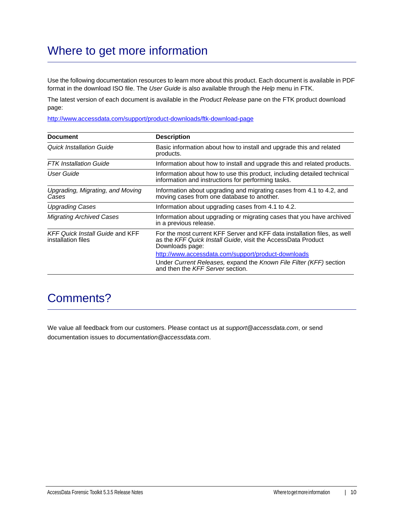## Where to get more information

Use the following documentation resources to learn more about this product. Each document is available in PDF format in the download ISO file. The *User Guide* is also available through the *Help* menu in FTK.

The latest version of each document is available in the *Product Release* pane on the FTK product download page:

http://www.accessdata.com/support/product-downloads/ftk-download-page

| <b>Document</b>                                              | <b>Description</b>                                                                                                                                          |
|--------------------------------------------------------------|-------------------------------------------------------------------------------------------------------------------------------------------------------------|
| Quick Installation Guide                                     | Basic information about how to install and upgrade this and related<br>products.                                                                            |
| <b>FTK</b> Installation Guide                                | Information about how to install and upgrade this and related products.                                                                                     |
| User Guide                                                   | Information about how to use this product, including detailed technical<br>information and instructions for performing tasks.                               |
| Upgrading, Migrating, and Moving<br>Cases                    | Information about upgrading and migrating cases from 4.1 to 4.2, and<br>moving cases from one database to another.                                          |
| <b>Upgrading Cases</b>                                       | Information about upgrading cases from 4.1 to 4.2.                                                                                                          |
| <b>Migrating Archived Cases</b>                              | Information about upgrading or migrating cases that you have archived<br>in a previous release.                                                             |
| <b>KFF Quick Install Guide and KFF</b><br>installation files | For the most current KFF Server and KFF data installation files, as well<br>as the KFF Quick Install Guide, visit the AccessData Product<br>Downloads page: |
|                                                              | http://www.accessdata.com/support/product-downloads                                                                                                         |
|                                                              | Under Current Releases, expand the Known File Filter (KFF) section<br>and then the KFF Server section.                                                      |

## Comments?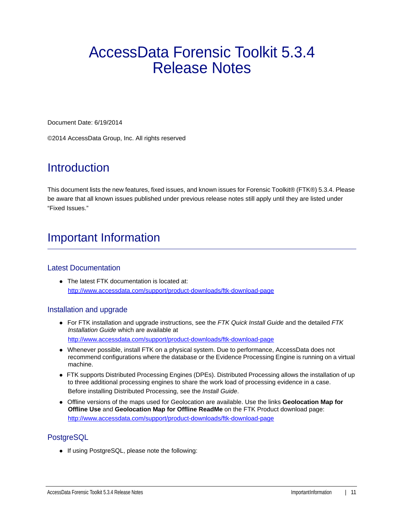# AccessData Forensic Toolkit 5.3.4 Release Notes

Document Date: 6/19/2014

©2014 AccessData Group, Inc. All rights reserved

## **Introduction**

This document lists the new features, fixed issues, and known issues for Forensic Toolkit® (FTK®) 5.3.4. Please be aware that all known issues published under previous release notes still apply until they are listed under "Fixed Issues."

## Important Information

### Latest Documentation

• The latest FTK documentation is located at: http://www.accessdata.com/support/product-downloads/ftk-download-page

### Installation and upgrade

- For FTK installation and upgrade instructions, see the *FTK Quick Install Guide* and the detailed *FTK Installation Guide* which are available at http://www.accessdata.com/support/product-downloads/ftk-download-page
- Whenever possible, install FTK on a physical system. Due to performance, AccessData does not recommend configurations where the database or the Evidence Processing Engine is running on a virtual machine.
- FTK supports Distributed Processing Engines (DPEs). Distributed Processing allows the installation of up to three additional processing engines to share the work load of processing evidence in a case. Before installing Distributed Processing, see the *Install Guide*.
- Offline versions of the maps used for Geolocation are available. Use the links **Geolocation Map for Offline Use** and **Geolocation Map for Offline ReadMe** on the FTK Product download page: http://www.accessdata.com/support/product-downloads/ftk-download-page

## **PostgreSQL**

• If using PostgreSQL, please note the following: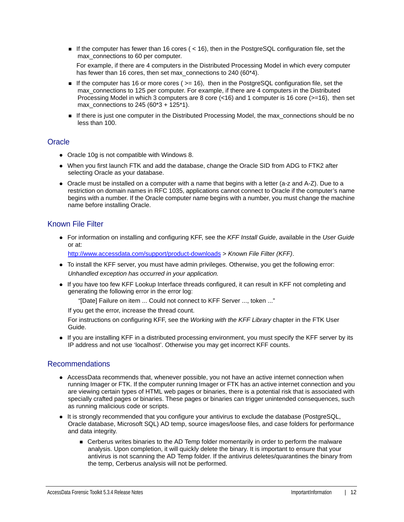If the computer has fewer than 16 cores ( $<$  16), then in the PostgreSQL configuration file, set the max connections to 60 per computer.

For example, if there are 4 computers in the Distributed Processing Model in which every computer has fewer than 16 cores, then set max\_connections to 240 (60\*4).

- If the computer has 16 or more cores ( $>= 16$ ), then in the PostgreSQL configuration file, set the max connections to 125 per computer. For example, if there are 4 computers in the Distributed Processing Model in which 3 computers are 8 core (<16) and 1 computer is 16 core (>=16), then set max connections to 245 (60\*3 + 125\*1).
- If there is just one computer in the Distributed Processing Model, the max\_connections should be no less than 100.

### **Oracle**

- Oracle 10g is not compatible with Windows 8.
- When you first launch FTK and add the database, change the Oracle SID from ADG to FTK2 after selecting Oracle as your database.
- Oracle must be installed on a computer with a name that begins with a letter (a-z and A-Z). Due to a restriction on domain names in RFC 1035, applications cannot connect to Oracle if the computer's name begins with a number. If the Oracle computer name begins with a number, you must change the machine name before installing Oracle.

## Known File Filter

For information on installing and configuring KFF, see the *KFF Install Guide*, available in the *User Guide* or at:

<http://www.accessdata.com/support/product-downloads>> *Known File Filter (KFF)*.

- To install the KFF server, you must have admin privileges. Otherwise, you get the following error: *Unhandled exception has occurred in your application.*
- If you have too few KFF Lookup Interface threads configured, it can result in KFF not completing and generating the following error in the error log:

"[Date] Failure on item ... Could not connect to KFF Server ..., token ..."

If you get the error, increase the thread count.

For instructions on configuring KFF, see the *Working with the KFF Library* chapter in the FTK User Guide.

If you are installing KFF in a distributed processing environment, you must specify the KFF server by its IP address and not use 'localhost'. Otherwise you may get incorrect KFF counts.

### Recommendations

- AccessData recommends that, whenever possible, you not have an active internet connection when running Imager or FTK. If the computer running Imager or FTK has an active internet connection and you are viewing certain types of HTML web pages or binaries, there is a potential risk that is associated with specially crafted pages or binaries. These pages or binaries can trigger unintended consequences, such as running malicious code or scripts.
- It is strongly recommended that you configure your antivirus to exclude the database (PostgreSQL, Oracle database, Microsoft SQL) AD temp, source images/loose files, and case folders for performance and data integrity.
	- Cerberus writes binaries to the AD Temp folder momentarily in order to perform the malware analysis. Upon completion, it will quickly delete the binary. It is important to ensure that your antivirus is not scanning the AD Temp folder. If the antivirus deletes/quarantines the binary from the temp, Cerberus analysis will not be performed.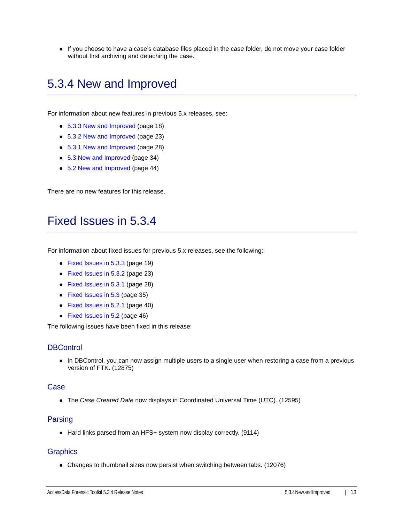If you choose to have a case's database files placed in the case folder, do not move your case folder without first archiving and detaching the case.

## <span id="page-12-0"></span>5.3.4 New and Improved

For information about new features in previous 5.x releases, see:

- [5.3.3 New and Improved \(page 18\)](#page-17-0)
- [5.3.2 New and Improved \(page 23\)](#page-22-0)
- [5.3.1 New and Improved \(page 28\)](#page-27-0)
- [5.3 New and Improved \(page 34\)](#page-33-0)
- [5.2 New and Improved \(page 44\)](#page-43-0)

There are no new features for this release.

## <span id="page-12-1"></span>Fixed Issues in 5.3.4

For information about fixed issues for previous 5.x releases, see the following:

- [Fixed Issues in 5.3.3 \(page 19\)](#page-18-0)
- [Fixed Issues in 5.3.2 \(page 23\)](#page-22-1)
- [Fixed Issues in 5.3.1 \(page 28\)](#page-27-1)
- [Fixed Issues in 5.3 \(page 35\)](#page-34-0)
- [Fixed Issues in 5.2.1 \(page 40\)](#page-39-0)
- [Fixed Issues in 5.2 \(page 46\)](#page-45-0)

The following issues have been fixed in this release:

### **DBControl**

• In DBControl, you can now assign multiple users to a single user when restoring a case from a previous version of FTK. (12875)

#### Case

The *Case Created Date* now displays in Coordinated Universal Time (UTC). (12595)

#### Parsing

• Hard links parsed from an HFS+ system now display correctly. (9114)

#### **Graphics**

Changes to thumbnail sizes now persist when switching between tabs. (12076)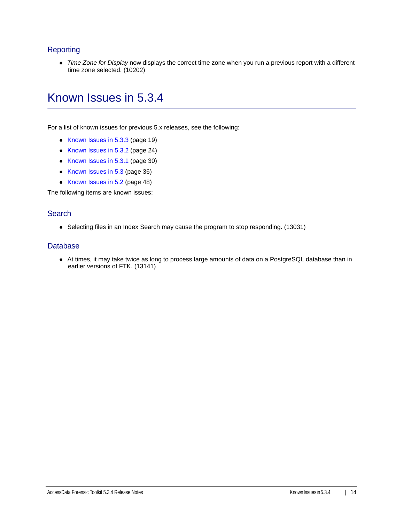## **Reporting**

*Time Zone for Display* now displays the correct time zone when you run a previous report with a different time zone selected. (10202)

## <span id="page-13-0"></span>Known Issues in 5.3.4

For a list of known issues for previous 5.x releases, see the following:

- [Known Issues in 5.3.3 \(page 19\)](#page-18-1)
- [Known Issues in 5.3.2 \(page 24\)](#page-23-0)
- [Known Issues in 5.3.1 \(page 30\)](#page-29-0)
- [Known Issues in 5.3 \(page 36\)](#page-35-0)
- [Known Issues in 5.2 \(page 48\)](#page-47-0)

The following items are known issues:

#### **Search**

• Selecting files in an Index Search may cause the program to stop responding. (13031)

#### **Database**

At times, it may take twice as long to process large amounts of data on a PostgreSQL database than in earlier versions of FTK. (13141)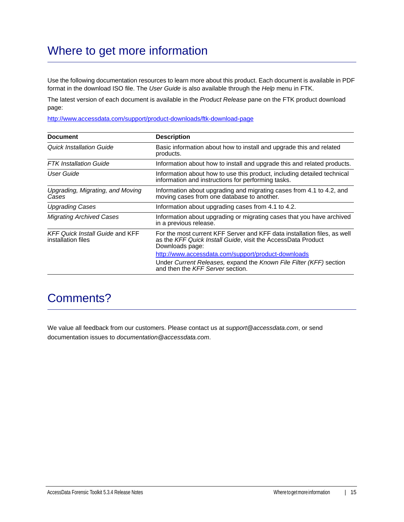## Where to get more information

Use the following documentation resources to learn more about this product. Each document is available in PDF format in the download ISO file. The *User Guide* is also available through the *Help* menu in FTK.

The latest version of each document is available in the *Product Release* pane on the FTK product download page:

http://www.accessdata.com/support/product-downloads/ftk-download-page

| <b>Document</b>                                              | <b>Description</b>                                                                                                                                          |
|--------------------------------------------------------------|-------------------------------------------------------------------------------------------------------------------------------------------------------------|
| Quick Installation Guide                                     | Basic information about how to install and upgrade this and related<br>products.                                                                            |
| <b>FTK</b> Installation Guide                                | Information about how to install and upgrade this and related products.                                                                                     |
| User Guide                                                   | Information about how to use this product, including detailed technical<br>information and instructions for performing tasks.                               |
| Upgrading, Migrating, and Moving<br>Cases                    | Information about upgrading and migrating cases from 4.1 to 4.2, and<br>moving cases from one database to another.                                          |
| <b>Upgrading Cases</b>                                       | Information about upgrading cases from 4.1 to 4.2.                                                                                                          |
| <b>Migrating Archived Cases</b>                              | Information about upgrading or migrating cases that you have archived<br>in a previous release.                                                             |
| <b>KFF Quick Install Guide and KFF</b><br>installation files | For the most current KFF Server and KFF data installation files, as well<br>as the KFF Quick Install Guide, visit the AccessData Product<br>Downloads page: |
|                                                              | http://www.accessdata.com/support/product-downloads                                                                                                         |
|                                                              | Under Current Releases, expand the Known File Filter (KFF) section<br>and then the KFF Server section.                                                      |

## Comments?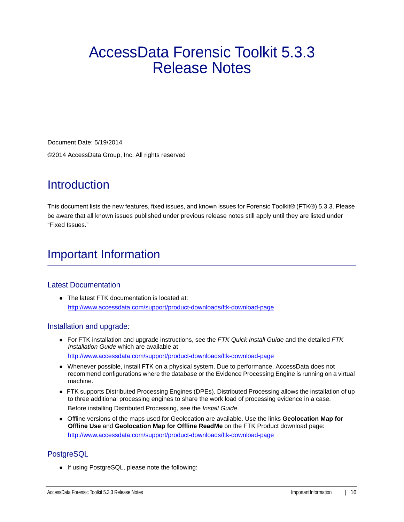# AccessData Forensic Toolkit 5.3.3 Release Notes

Document Date: 5/19/2014 ©2014 AccessData Group, Inc. All rights reserved

## **Introduction**

This document lists the new features, fixed issues, and known issues for Forensic Toolkit® (FTK®) 5.3.3. Please be aware that all known issues published under previous release notes still apply until they are listed under "Fixed Issues."

## Important Information

## Latest Documentation

• The latest FTK documentation is located at: http://www.accessdata.com/support/product-downloads/ftk-download-page

### Installation and upgrade:

- For FTK installation and upgrade instructions, see the *FTK Quick Install Guide* and the detailed *FTK Installation Guide* which are available at http://www.accessdata.com/support/product-downloads/ftk-download-page
- Whenever possible, install FTK on a physical system. Due to performance, AccessData does not recommend configurations where the database or the Evidence Processing Engine is running on a virtual machine.
- FTK supports Distributed Processing Engines (DPEs). Distributed Processing allows the installation of up to three additional processing engines to share the work load of processing evidence in a case. Before installing Distributed Processing, see the *Install Guide*.
- Offline versions of the maps used for Geolocation are available. Use the links **Geolocation Map for Offline Use** and **Geolocation Map for Offline ReadMe** on the FTK Product download page: http://www.accessdata.com/support/product-downloads/ftk-download-page

## **PostgreSQL**

• If using PostgreSQL, please note the following: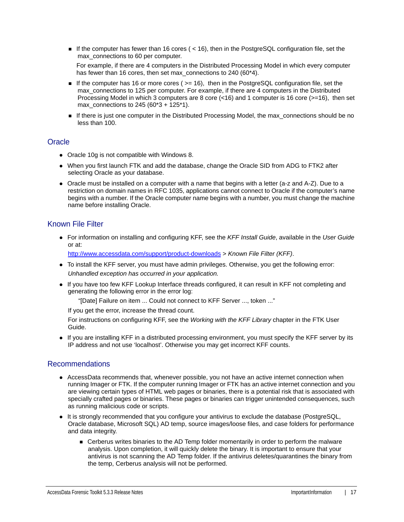If the computer has fewer than 16 cores ( $<$  16), then in the PostgreSQL configuration file, set the max connections to 60 per computer.

For example, if there are 4 computers in the Distributed Processing Model in which every computer has fewer than 16 cores, then set max\_connections to 240 (60\*4).

- If the computer has 16 or more cores ( $>= 16$ ), then in the PostgreSQL configuration file, set the max connections to 125 per computer. For example, if there are 4 computers in the Distributed Processing Model in which 3 computers are 8 core (<16) and 1 computer is 16 core (>=16), then set max connections to 245 (60\*3 + 125\*1).
- If there is just one computer in the Distributed Processing Model, the max\_connections should be no less than 100.

### **Oracle**

- Oracle 10g is not compatible with Windows 8.
- When you first launch FTK and add the database, change the Oracle SID from ADG to FTK2 after selecting Oracle as your database.
- Oracle must be installed on a computer with a name that begins with a letter (a-z and A-Z). Due to a restriction on domain names in RFC 1035, applications cannot connect to Oracle if the computer's name begins with a number. If the Oracle computer name begins with a number, you must change the machine name before installing Oracle.

## Known File Filter

For information on installing and configuring KFF, see the *KFF Install Guide*, available in the *User Guide* or at:

<http://www.accessdata.com/support/product-downloads>> *Known File Filter (KFF)*.

- To install the KFF server, you must have admin privileges. Otherwise, you get the following error: *Unhandled exception has occurred in your application.*
- If you have too few KFF Lookup Interface threads configured, it can result in KFF not completing and generating the following error in the error log:

"[Date] Failure on item ... Could not connect to KFF Server ..., token ..."

If you get the error, increase the thread count.

For instructions on configuring KFF, see the *Working with the KFF Library* chapter in the FTK User Guide.

If you are installing KFF in a distributed processing environment, you must specify the KFF server by its IP address and not use 'localhost'. Otherwise you may get incorrect KFF counts.

### Recommendations

- AccessData recommends that, whenever possible, you not have an active internet connection when running Imager or FTK. If the computer running Imager or FTK has an active internet connection and you are viewing certain types of HTML web pages or binaries, there is a potential risk that is associated with specially crafted pages or binaries. These pages or binaries can trigger unintended consequences, such as running malicious code or scripts.
- It is strongly recommended that you configure your antivirus to exclude the database (PostgreSQL, Oracle database, Microsoft SQL) AD temp, source images/loose files, and case folders for performance and data integrity.
	- Cerberus writes binaries to the AD Temp folder momentarily in order to perform the malware analysis. Upon completion, it will quickly delete the binary. It is important to ensure that your antivirus is not scanning the AD Temp folder. If the antivirus deletes/quarantines the binary from the temp, Cerberus analysis will not be performed.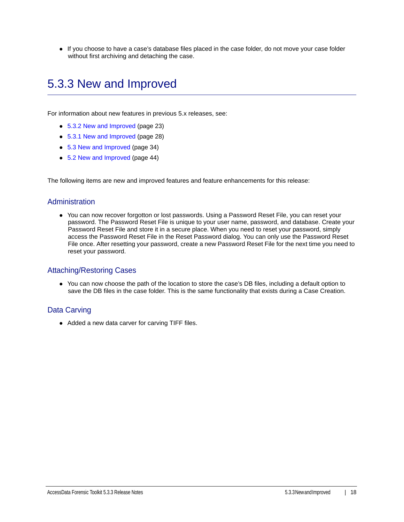If you choose to have a case's database files placed in the case folder, do not move your case folder without first archiving and detaching the case.

## <span id="page-17-0"></span>5.3.3 New and Improved

For information about new features in previous 5.x releases, see:

- [5.3.2 New and Improved \(page 23\)](#page-22-0)
- [5.3.1 New and Improved \(page 28\)](#page-27-0)
- [5.3 New and Improved \(page 34\)](#page-33-0)
- [5.2 New and Improved \(page 44\)](#page-43-0)

The following items are new and improved features and feature enhancements for this release:

#### Administration

You can now recover forgotton or lost passwords. Using a Password Reset File, you can reset your password. The Password Reset File is unique to your user name, password, and database. Create your Password Reset File and store it in a secure place. When you need to reset your password, simply access the Password Reset File in the Reset Password dialog. You can only use the Password Reset File once. After resetting your password, create a new Password Reset File for the next time you need to reset your password.

#### Attaching/Restoring Cases

You can now choose the path of the location to store the case's DB files, including a default option to save the DB files in the case folder. This is the same functionality that exists during a Case Creation.

#### Data Carving

• Added a new data carver for carving TIFF files.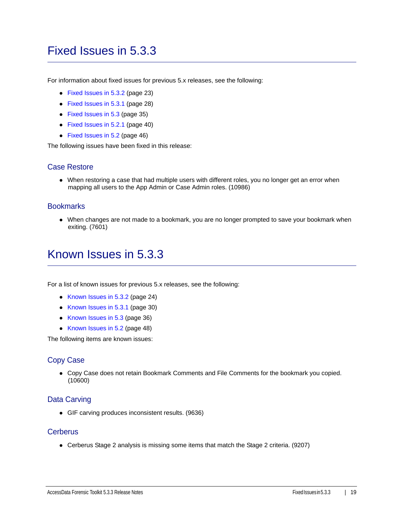## <span id="page-18-0"></span>Fixed Issues in 5.3.3

For information about fixed issues for previous 5.x releases, see the following:

- [Fixed Issues in 5.3.2 \(page 23\)](#page-22-1)
- [Fixed Issues in 5.3.1 \(page 28\)](#page-27-1)
- [Fixed Issues in 5.3 \(page 35\)](#page-34-0)
- [Fixed Issues in 5.2.1 \(page 40\)](#page-39-0)
- [Fixed Issues in 5.2 \(page 46\)](#page-45-0)

The following issues have been fixed in this release:

### Case Restore

When restoring a case that had multiple users with different roles, you no longer get an error when mapping all users to the App Admin or Case Admin roles. (10986)

#### **Bookmarks**

When changes are not made to a bookmark, you are no longer prompted to save your bookmark when exiting. (7601)

## <span id="page-18-1"></span>Known Issues in 5.3.3

For a list of known issues for previous 5.x releases, see the following:

- [Known Issues in 5.3.2 \(page 24\)](#page-23-0)
- [Known Issues in 5.3.1 \(page 30\)](#page-29-0)
- [Known Issues in 5.3 \(page 36\)](#page-35-0)
- [Known Issues in 5.2 \(page 48\)](#page-47-0)

The following items are known issues:

### Copy Case

Copy Case does not retain Bookmark Comments and File Comments for the bookmark you copied. (10600)

### Data Carving

GIF carving produces inconsistent results. (9636)

#### **Cerberus**

Cerberus Stage 2 analysis is missing some items that match the Stage 2 criteria. (9207)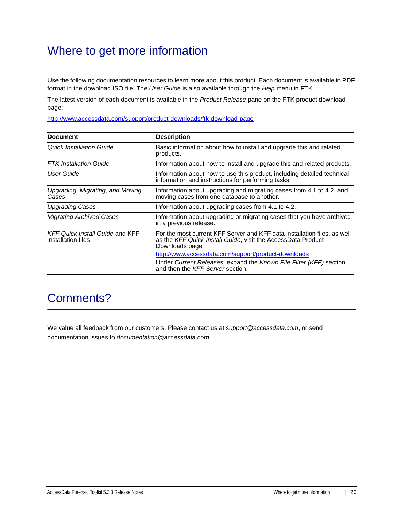## Where to get more information

Use the following documentation resources to learn more about this product. Each document is available in PDF format in the download ISO file. The *User Guide* is also available through the *Help* menu in FTK.

The latest version of each document is available in the *Product Release* pane on the FTK product download page:

http://www.accessdata.com/support/product-downloads/ftk-download-page

| <b>Document</b>                                              | <b>Description</b>                                                                                                                                          |
|--------------------------------------------------------------|-------------------------------------------------------------------------------------------------------------------------------------------------------------|
| Quick Installation Guide                                     | Basic information about how to install and upgrade this and related<br>products.                                                                            |
| <b>FTK</b> Installation Guide                                | Information about how to install and upgrade this and related products.                                                                                     |
| User Guide                                                   | Information about how to use this product, including detailed technical<br>information and instructions for performing tasks.                               |
| Upgrading, Migrating, and Moving<br>Cases                    | Information about upgrading and migrating cases from 4.1 to 4.2, and<br>moving cases from one database to another.                                          |
| <b>Upgrading Cases</b>                                       | Information about upgrading cases from 4.1 to 4.2.                                                                                                          |
| <b>Migrating Archived Cases</b>                              | Information about upgrading or migrating cases that you have archived<br>in a previous release.                                                             |
| <b>KFF Quick Install Guide and KFF</b><br>installation files | For the most current KFF Server and KFF data installation files, as well<br>as the KFF Quick Install Guide, visit the AccessData Product<br>Downloads page: |
|                                                              | http://www.accessdata.com/support/product-downloads                                                                                                         |
|                                                              | Under Current Releases, expand the Known File Filter (KFF) section<br>and then the KFF Server section.                                                      |

## Comments?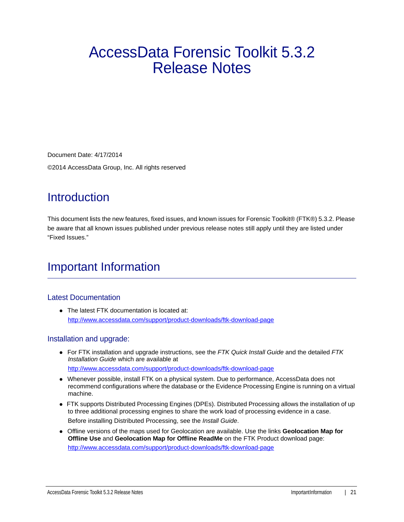# AccessData Forensic Toolkit 5.3.2 Release Notes

Document Date: 4/17/2014 ©2014 AccessData Group, Inc. All rights reserved

## **Introduction**

This document lists the new features, fixed issues, and known issues for Forensic Toolkit® (FTK®) 5.3.2. Please be aware that all known issues published under previous release notes still apply until they are listed under "Fixed Issues."

## Important Information

### Latest Documentation

• The latest FTK documentation is located at: http://www.accessdata.com/support/product-downloads/ftk-download-page

### Installation and upgrade:

- For FTK installation and upgrade instructions, see the *FTK Quick Install Guide* and the detailed *FTK Installation Guide* which are available at http://www.accessdata.com/support/product-downloads/ftk-download-page
- Whenever possible, install FTK on a physical system. Due to performance, AccessData does not recommend configurations where the database or the Evidence Processing Engine is running on a virtual machine.
- FTK supports Distributed Processing Engines (DPEs). Distributed Processing allows the installation of up to three additional processing engines to share the work load of processing evidence in a case. Before installing Distributed Processing, see the *Install Guide*.
- Offline versions of the maps used for Geolocation are available. Use the links **Geolocation Map for Offline Use** and **Geolocation Map for Offline ReadMe** on the FTK Product download page: http://www.accessdata.com/support/product-downloads/ftk-download-page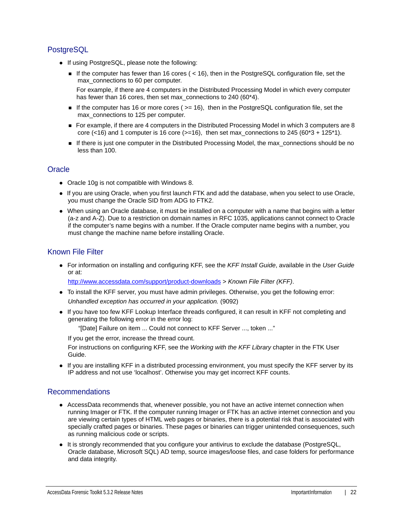## **PostgreSQL**

- If using PostgreSQL, please note the following:
	- If the computer has fewer than 16 cores ( $<$  16), then in the PostgreSQL configuration file, set the max connections to 60 per computer.

For example, if there are 4 computers in the Distributed Processing Model in which every computer has fewer than 16 cores, then set max\_connections to 240 (60\*4).

- If the computer has 16 or more cores ( $>= 16$ ), then in the PostgreSQL configuration file, set the max\_connections to 125 per computer.
- For example, if there are 4 computers in the Distributed Processing Model in which 3 computers are 8 core (<16) and 1 computer is 16 core ( $>=16$ ), then set max\_connections to 245 ( $60*3 + 125*1$ ).
- If there is just one computer in the Distributed Processing Model, the max\_connections should be no less than 100.

## **Oracle**

- Oracle 10g is not compatible with Windows 8.
- If you are using Oracle, when you first launch FTK and add the database, when you select to use Oracle, you must change the Oracle SID from ADG to FTK2.
- When using an Oracle database, it must be installed on a computer with a name that begins with a letter (a-z and A-Z). Due to a restriction on domain names in RFC 1035, applications cannot connect to Oracle if the computer's name begins with a number. If the Oracle computer name begins with a number, you must change the machine name before installing Oracle.

## Known File Filter

For information on installing and configuring KFF, see the *KFF Install Guide*, available in the *User Guide* or at:

<http://www.accessdata.com/support/product-downloads>> *Known File Filter (KFF)*.

- To install the KFF server, you must have admin privileges. Otherwise, you get the following error: *Unhandled exception has occurred in your application.* (9092)
- If you have too few KFF Lookup Interface threads configured, it can result in KFF not completing and generating the following error in the error log:

"[Date] Failure on item ... Could not connect to KFF Server ..., token ..."

If you get the error, increase the thread count.

For instructions on configuring KFF, see the *Working with the KFF Library* chapter in the FTK User Guide.

If you are installing KFF in a distributed processing environment, you must specify the KFF server by its IP address and not use 'localhost'. Otherwise you may get incorrect KFF counts.

### Recommendations

- AccessData recommends that, whenever possible, you not have an active internet connection when running Imager or FTK. If the computer running Imager or FTK has an active internet connection and you are viewing certain types of HTML web pages or binaries, there is a potential risk that is associated with specially crafted pages or binaries. These pages or binaries can trigger unintended consequences, such as running malicious code or scripts.
- It is strongly recommended that you configure your antivirus to exclude the database (PostgreSQL, Oracle database, Microsoft SQL) AD temp, source images/loose files, and case folders for performance and data integrity.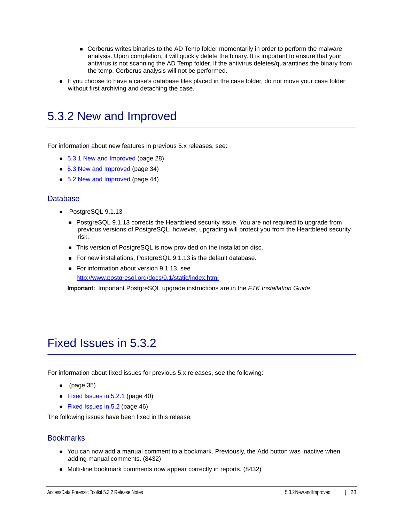- Cerberus writes binaries to the AD Temp folder momentarily in order to perform the malware analysis. Upon completion, it will quickly delete the binary. It is important to ensure that your antivirus is not scanning the AD Temp folder. If the antivirus deletes/quarantines the binary from the temp, Cerberus analysis will not be performed.
- If you choose to have a case's database files placed in the case folder, do not move your case folder without first archiving and detaching the case.

## <span id="page-22-0"></span>5.3.2 New and Improved

For information about new features in previous 5.x releases, see:

- [5.3.1 New and Improved \(page 28\)](#page-27-0)
- [5.3 New and Improved \(page 34\)](#page-33-0)
- [5.2 New and Improved \(page 44\)](#page-43-0)

#### Database

- PostgreSQL 9.1.13
	- **PostgreSQL 9.1.13 corrects the Heartbleed security issue. You are not required to upgrade from** previous versions of PostgreSQL; however, upgrading will protect you from the Heartbleed security risk.
	- This version of PostgreSQL is now provided on the installation disc.
	- For new installations, PostgreSQL 9.1.13 is the default database.
	- For information about version 9.1.13, see <http://www.postgresql.org/docs/9.1/static/index.html>

**Important:** Important PostgreSQL upgrade instructions are in the *FTK Installation Guide*.

## <span id="page-22-1"></span>Fixed Issues in 5.3.2

For information about fixed issues for previous 5.x releases, see the following:

- $\bullet$  [\(page 35\)](#page-34-1)
- [Fixed Issues in 5.2.1 \(page 40\)](#page-39-0)
- [Fixed Issues in 5.2 \(page 46\)](#page-45-0)

The following issues have been fixed in this release:

#### **Bookmarks**

- You can now add a manual comment to a bookmark. Previously, the Add button was inactive when adding manual comments. (8432)
- Multi-line bookmark comments now appear correctly in reports. (8432)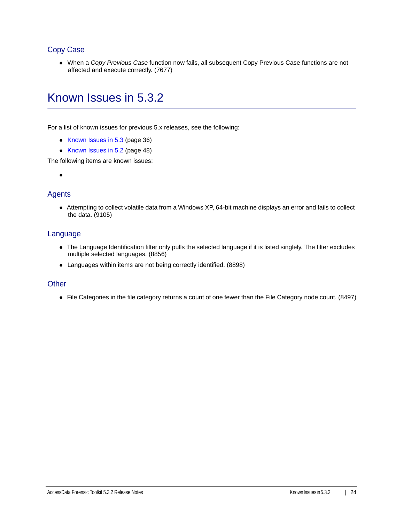## Copy Case

When a *Copy Previous Case* function now fails, all subsequent Copy Previous Case functions are not affected and execute correctly. (7677)

## <span id="page-23-0"></span>Known Issues in 5.3.2

For a list of known issues for previous 5.x releases, see the following:

- [Known Issues in 5.3 \(page 36\)](#page-35-0)
- [Known Issues in 5.2 \(page 48\)](#page-47-0)

The following items are known issues:

 $\bullet$ 

### **Agents**

Attempting to collect volatile data from a Windows XP, 64-bit machine displays an error and fails to collect the data. (9105)

### Language

- The Language Identification filter only pulls the selected language if it is listed singlely. The filter excludes multiple selected languages. (8856)
- Languages within items are not being correctly identified. (8898)

### **Other**

• File Categories in the file category returns a count of one fewer than the File Category node count. (8497)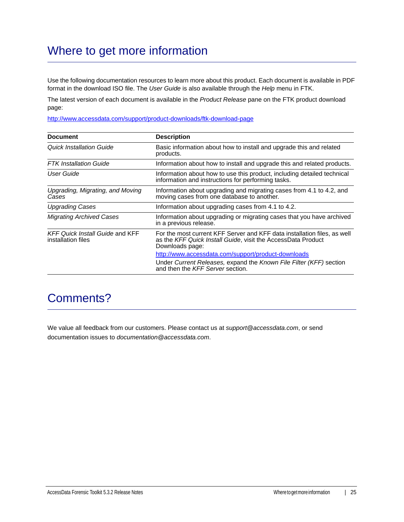## Where to get more information

Use the following documentation resources to learn more about this product. Each document is available in PDF format in the download ISO file. The *User Guide* is also available through the *Help* menu in FTK.

The latest version of each document is available in the *Product Release* pane on the FTK product download page:

http://www.accessdata.com/support/product-downloads/ftk-download-page

| <b>Document</b>                                              | <b>Description</b>                                                                                                                                          |
|--------------------------------------------------------------|-------------------------------------------------------------------------------------------------------------------------------------------------------------|
| Quick Installation Guide                                     | Basic information about how to install and upgrade this and related<br>products.                                                                            |
| <b>FTK</b> Installation Guide                                | Information about how to install and upgrade this and related products.                                                                                     |
| User Guide                                                   | Information about how to use this product, including detailed technical<br>information and instructions for performing tasks.                               |
| Upgrading, Migrating, and Moving<br>Cases                    | Information about upgrading and migrating cases from 4.1 to 4.2, and<br>moving cases from one database to another.                                          |
| <b>Upgrading Cases</b>                                       | Information about upgrading cases from 4.1 to 4.2.                                                                                                          |
| <b>Migrating Archived Cases</b>                              | Information about upgrading or migrating cases that you have archived<br>in a previous release.                                                             |
| <b>KFF Quick Install Guide and KFF</b><br>installation files | For the most current KFF Server and KFF data installation files, as well<br>as the KFF Quick Install Guide, visit the AccessData Product<br>Downloads page: |
|                                                              | http://www.accessdata.com/support/product-downloads                                                                                                         |
|                                                              | Under Current Releases, expand the Known File Filter (KFF) section<br>and then the KFF Server section.                                                      |

## Comments?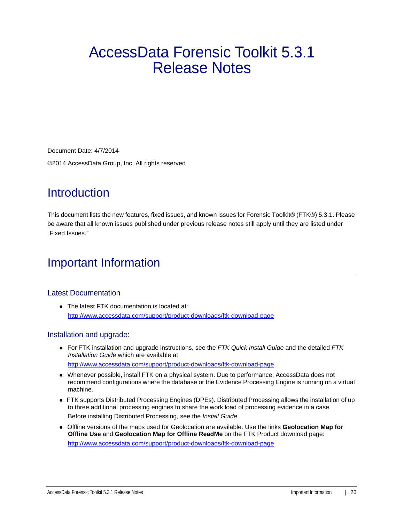# AccessData Forensic Toolkit 5.3.1 Release Notes

Document Date: 4/7/2014 ©2014 AccessData Group, Inc. All rights reserved

## **Introduction**

This document lists the new features, fixed issues, and known issues for Forensic Toolkit® (FTK®) 5.3.1. Please be aware that all known issues published under previous release notes still apply until they are listed under "Fixed Issues."

## Important Information

## Latest Documentation

• The latest FTK documentation is located at: http://www.accessdata.com/support/product-downloads/ftk-download-page

### Installation and upgrade:

- For FTK installation and upgrade instructions, see the *FTK Quick Install Guide* and the detailed *FTK Installation Guide* which are available at http://www.accessdata.com/support/product-downloads/ftk-download-page
- Whenever possible, install FTK on a physical system. Due to performance, AccessData does not recommend configurations where the database or the Evidence Processing Engine is running on a virtual machine.
- FTK supports Distributed Processing Engines (DPEs). Distributed Processing allows the installation of up to three additional processing engines to share the work load of processing evidence in a case. Before installing Distributed Processing, see the *Install Guide*.
- Offline versions of the maps used for Geolocation are available. Use the links **Geolocation Map for Offline Use** and **Geolocation Map for Offline ReadMe** on the FTK Product download page: http://www.accessdata.com/support/product-downloads/ftk-download-page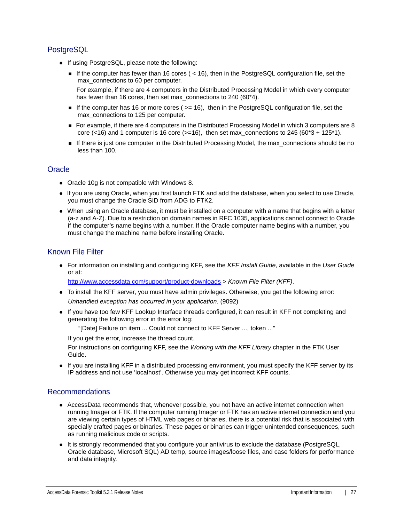## **PostgreSQL**

- If using PostgreSQL, please note the following:
	- If the computer has fewer than 16 cores ( $<$  16), then in the PostgreSQL configuration file, set the max connections to 60 per computer.

For example, if there are 4 computers in the Distributed Processing Model in which every computer has fewer than 16 cores, then set max\_connections to 240 (60\*4).

- If the computer has 16 or more cores ( $>= 16$ ), then in the PostgreSQL configuration file, set the max\_connections to 125 per computer.
- For example, if there are 4 computers in the Distributed Processing Model in which 3 computers are 8 core (<16) and 1 computer is 16 core ( $>=16$ ), then set max\_connections to 245 ( $60*3 + 125*1$ ).
- If there is just one computer in the Distributed Processing Model, the max\_connections should be no less than 100.

## **Oracle**

- Oracle 10g is not compatible with Windows 8.
- If you are using Oracle, when you first launch FTK and add the database, when you select to use Oracle, you must change the Oracle SID from ADG to FTK2.
- When using an Oracle database, it must be installed on a computer with a name that begins with a letter (a-z and A-Z). Due to a restriction on domain names in RFC 1035, applications cannot connect to Oracle if the computer's name begins with a number. If the Oracle computer name begins with a number, you must change the machine name before installing Oracle.

## Known File Filter

For information on installing and configuring KFF, see the *KFF Install Guide*, available in the *User Guide* or at:

<http://www.accessdata.com/support/product-downloads>> *Known File Filter (KFF)*.

- To install the KFF server, you must have admin privileges. Otherwise, you get the following error: *Unhandled exception has occurred in your application.* (9092)
- If you have too few KFF Lookup Interface threads configured, it can result in KFF not completing and generating the following error in the error log:

"[Date] Failure on item ... Could not connect to KFF Server ..., token ..."

If you get the error, increase the thread count.

For instructions on configuring KFF, see the *Working with the KFF Library* chapter in the FTK User Guide.

If you are installing KFF in a distributed processing environment, you must specify the KFF server by its IP address and not use 'localhost'. Otherwise you may get incorrect KFF counts.

### Recommendations

- AccessData recommends that, whenever possible, you not have an active internet connection when running Imager or FTK. If the computer running Imager or FTK has an active internet connection and you are viewing certain types of HTML web pages or binaries, there is a potential risk that is associated with specially crafted pages or binaries. These pages or binaries can trigger unintended consequences, such as running malicious code or scripts.
- It is strongly recommended that you configure your antivirus to exclude the database (PostgreSQL, Oracle database, Microsoft SQL) AD temp, source images/loose files, and case folders for performance and data integrity.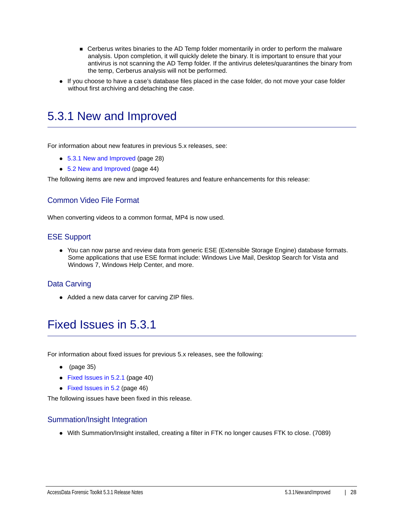- Cerberus writes binaries to the AD Temp folder momentarily in order to perform the malware analysis. Upon completion, it will quickly delete the binary. It is important to ensure that your antivirus is not scanning the AD Temp folder. If the antivirus deletes/quarantines the binary from the temp, Cerberus analysis will not be performed.
- If you choose to have a case's database files placed in the case folder, do not move your case folder without first archiving and detaching the case.

## <span id="page-27-0"></span>5.3.1 New and Improved

For information about new features in previous 5.x releases, see:

- [5.3.1 New and Improved \(page 28\)](#page-27-0)
- [5.2 New and Improved \(page 44\)](#page-43-0)

The following items are new and improved features and feature enhancements for this release:

### Common Video File Format

When converting videos to a common format, MP4 is now used.

#### ESE Support

You can now parse and review data from generic ESE (Extensible Storage Engine) database formats. Some applications that use ESE format include: Windows Live Mail, Desktop Search for Vista and Windows 7, Windows Help Center, and more.

### Data Carving

• Added a new data carver for carving ZIP files.

## <span id="page-27-1"></span>Fixed Issues in 5.3.1

For information about fixed issues for previous 5.x releases, see the following:

- $\bullet$  [\(page 35\)](#page-34-1)
- [Fixed Issues in 5.2.1 \(page 40\)](#page-39-0)
- [Fixed Issues in 5.2 \(page 46\)](#page-45-0)

The following issues have been fixed in this release.

#### Summation/Insight Integration

With Summation/Insight installed, creating a filter in FTK no longer causes FTK to close. (7089)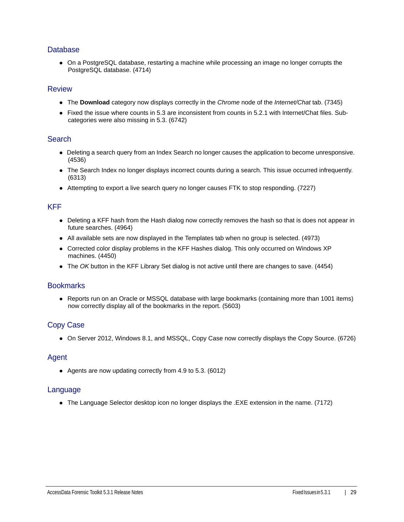### **Database**

On a PostgreSQL database, restarting a machine while processing an image no longer corrupts the PostgreSQL database. (4714)

#### Review

- The **Download** category now displays correctly in the *Chrome* node of the *Internet/Chat* tab. (7345)
- Fixed the issue where counts in 5.3 are inconsistent from counts in 5.2.1 with Internet/Chat files. Subcategories were also missing in 5.3. (6742)

#### **Search**

- Deleting a search query from an Index Search no longer causes the application to become unresponsive. (4536)
- The Search Index no longer displays incorrect counts during a search. This issue occurred infrequently. (6313)
- Attempting to export a live search query no longer causes FTK to stop responding. (7227)

#### KFF

- Deleting a KFF hash from the Hash dialog now correctly removes the hash so that is does not appear in future searches. (4964)
- All available sets are now displayed in the Templates tab when no group is selected. (4973)
- Corrected color display problems in the KFF Hashes dialog. This only occurred on Windows XP machines. (4450)
- The *OK* button in the KFF Library Set dialog is not active until there are changes to save. (4454)

#### **Bookmarks**

• Reports run on an Oracle or MSSQL database with large bookmarks (containing more than 1001 items) now correctly display all of the bookmarks in the report. (5603)

### Copy Case

On Server 2012, Windows 8.1, and MSSQL, Copy Case now correctly displays the Copy Source. (6726)

#### Agent

Agents are now updating correctly from 4.9 to 5.3. (6012)

#### Language

The Language Selector desktop icon no longer displays the .EXE extension in the name. (7172)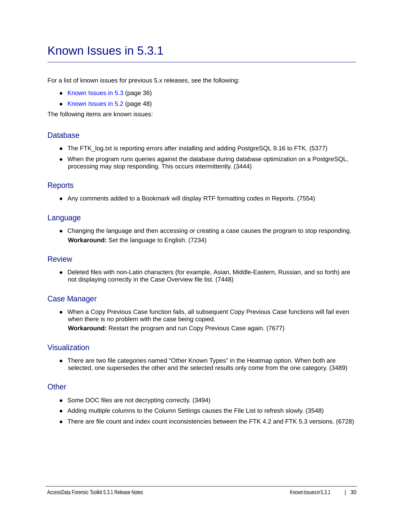## <span id="page-29-0"></span>Known Issues in 5.3.1

For a list of known issues for previous 5.x releases, see the following:

- [Known Issues in 5.3 \(page 36\)](#page-35-0)
- [Known Issues in 5.2 \(page 48\)](#page-47-0)

The following items are known issues:

#### **Database**

- The FTK\_log.txt is reporting errors after installing and adding PostgreSQL 9.16 to FTK. (5377)
- When the program runs queries against the database during database optimization on a PostgreSQL, processing may stop responding. This occurs intermittently. (3444)

#### **Reports**

Any comments added to a Bookmark will display RTF formatting codes in Reports. (7554)

#### Language

Changing the language and then accessing or creating a case causes the program to stop responding. **Workaround:** Set the language to English. (7234)

#### Review

Deleted files with non-Latin characters (for example, Asian, Middle-Eastern, Russian, and so forth) are not displaying correctly in the Case Overview file list. (7448)

### Case Manager

When a Copy Previous Case function fails, all subsequent Copy Previous Case functions will fail even when there is no problem with the case being copied.

**Workaround:** Restart the program and run Copy Previous Case again. (7677)

#### Visualization

• There are two file categories named "Other Known Types" in the Heatmap option. When both are selected, one supersedes the other and the selected results only come from the one category. (3489)

#### **Other**

- Some DOC files are not decrypting correctly. (3494)
- Adding multiple columns to the Column Settings causes the File List to refresh slowly. (3548)
- There are file count and index count inconsistencies between the FTK 4.2 and FTK 5.3 versions. (6728)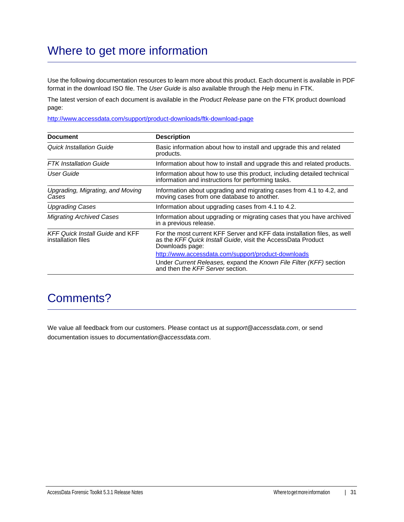## Where to get more information

Use the following documentation resources to learn more about this product. Each document is available in PDF format in the download ISO file. The *User Guide* is also available through the *Help* menu in FTK.

The latest version of each document is available in the *Product Release* pane on the FTK product download page:

http://www.accessdata.com/support/product-downloads/ftk-download-page

| <b>Document</b>                                              | <b>Description</b>                                                                                                                                          |
|--------------------------------------------------------------|-------------------------------------------------------------------------------------------------------------------------------------------------------------|
| <b>Quick Installation Guide</b>                              | Basic information about how to install and upgrade this and related<br>products.                                                                            |
| <b>FTK</b> Installation Guide                                | Information about how to install and upgrade this and related products.                                                                                     |
| User Guide                                                   | Information about how to use this product, including detailed technical<br>information and instructions for performing tasks.                               |
| Upgrading, Migrating, and Moving<br>Cases                    | Information about upgrading and migrating cases from 4.1 to 4.2, and<br>moving cases from one database to another.                                          |
| <b>Upgrading Cases</b>                                       | Information about upgrading cases from 4.1 to 4.2.                                                                                                          |
| <b>Migrating Archived Cases</b>                              | Information about upgrading or migrating cases that you have archived<br>in a previous release.                                                             |
| <b>KFF Quick Install Guide and KFF</b><br>installation files | For the most current KFF Server and KFF data installation files, as well<br>as the KFF Quick Install Guide, visit the AccessData Product<br>Downloads page: |
|                                                              | http://www.accessdata.com/support/product-downloads                                                                                                         |
|                                                              | Under Current Releases, expand the Known File Filter (KFF) section<br>and then the KFF Server section.                                                      |

## Comments?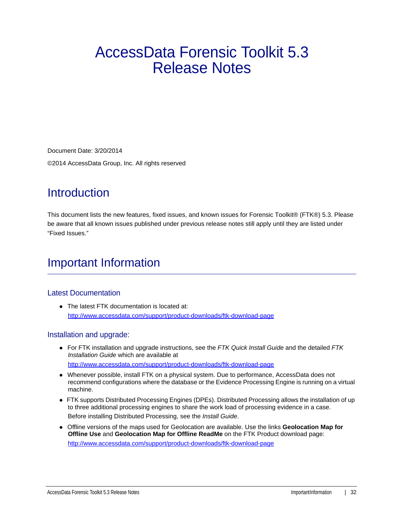# AccessData Forensic Toolkit 5.3 Release Notes

Document Date: 3/20/2014

©2014 AccessData Group, Inc. All rights reserved

## **Introduction**

This document lists the new features, fixed issues, and known issues for Forensic Toolkit® (FTK®) 5.3. Please be aware that all known issues published under previous release notes still apply until they are listed under "Fixed Issues."

## Important Information

## Latest Documentation

• The latest FTK documentation is located at: http://www.accessdata.com/support/product-downloads/ftk-download-page

### Installation and upgrade:

- For FTK installation and upgrade instructions, see the *FTK Quick Install Guide* and the detailed *FTK Installation Guide* which are available at http://www.accessdata.com/support/product-downloads/ftk-download-page
- Whenever possible, install FTK on a physical system. Due to performance, AccessData does not recommend configurations where the database or the Evidence Processing Engine is running on a virtual machine.
- FTK supports Distributed Processing Engines (DPEs). Distributed Processing allows the installation of up to three additional processing engines to share the work load of processing evidence in a case. Before installing Distributed Processing, see the *Install Guide*.
- Offline versions of the maps used for Geolocation are available. Use the links **Geolocation Map for Offline Use** and **Geolocation Map for Offline ReadMe** on the FTK Product download page: http://www.accessdata.com/support/product-downloads/ftk-download-page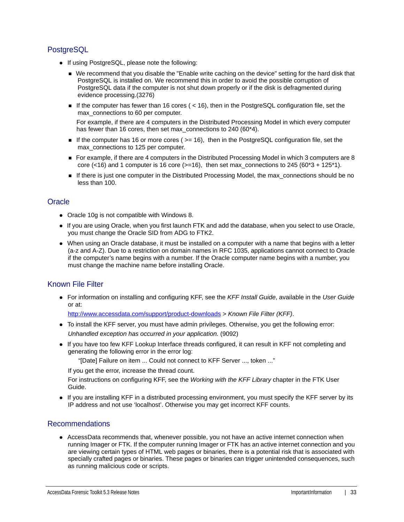## **PostgreSQL**

- If using PostgreSQL, please note the following:
	- We recommend that you disable the "Enable write caching on the device" setting for the hard disk that PostgreSQL is installed on. We recommend this in order to avoid the possible corruption of PostgreSQL data if the computer is not shut down properly or if the disk is defragmented during evidence processing.(3276)
	- If the computer has fewer than 16 cores  $($  < 16), then in the PostgreSQL configuration file, set the max\_connections to 60 per computer.

For example, if there are 4 computers in the Distributed Processing Model in which every computer has fewer than 16 cores, then set max\_connections to 240 (60\*4).

- If the computer has 16 or more cores ( $>= 16$ ), then in the PostgreSQL configuration file, set the max\_connections to 125 per computer.
- For example, if there are 4 computers in the Distributed Processing Model in which 3 computers are 8 core (<16) and 1 computer is 16 core ( $>=16$ ), then set max connections to 245 (60\*3 + 125\*1).
- If there is just one computer in the Distributed Processing Model, the max connections should be no less than 100.

### **Oracle**

- Oracle 10g is not compatible with Windows 8.
- If you are using Oracle, when you first launch FTK and add the database, when you select to use Oracle, you must change the Oracle SID from ADG to FTK2.
- When using an Oracle database, it must be installed on a computer with a name that begins with a letter (a-z and A-Z). Due to a restriction on domain names in RFC 1035, applications cannot connect to Oracle if the computer's name begins with a number. If the Oracle computer name begins with a number, you must change the machine name before installing Oracle.

## Known File Filter

For information on installing and configuring KFF, see the *KFF Install Guide*, available in the *User Guide* or at:

<http://www.accessdata.com/support/product-downloads>> *Known File Filter (KFF)*.

- To install the KFF server, you must have admin privileges. Otherwise, you get the following error: *Unhandled exception has occurred in your application.* (9092)
- If you have too few KFF Lookup Interface threads configured, it can result in KFF not completing and generating the following error in the error log:

"[Date] Failure on item ... Could not connect to KFF Server ..., token ..."

If you get the error, increase the thread count.

For instructions on configuring KFF, see the *Working with the KFF Library* chapter in the FTK User Guide.

• If you are installing KFF in a distributed processing environment, you must specify the KFF server by its IP address and not use 'localhost'. Otherwise you may get incorrect KFF counts.

### Recommendations

AccessData recommends that, whenever possible, you not have an active internet connection when running Imager or FTK. If the computer running Imager or FTK has an active internet connection and you are viewing certain types of HTML web pages or binaries, there is a potential risk that is associated with specially crafted pages or binaries. These pages or binaries can trigger unintended consequences, such as running malicious code or scripts.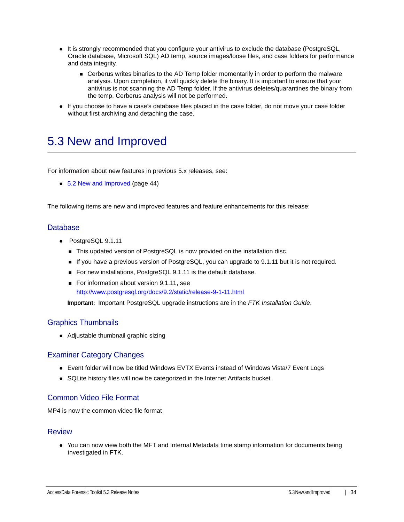- It is strongly recommended that you configure your antivirus to exclude the database (PostgreSQL, Oracle database, Microsoft SQL) AD temp, source images/loose files, and case folders for performance and data integrity.
	- Cerberus writes binaries to the AD Temp folder momentarily in order to perform the malware analysis. Upon completion, it will quickly delete the binary. It is important to ensure that your antivirus is not scanning the AD Temp folder. If the antivirus deletes/quarantines the binary from the temp, Cerberus analysis will not be performed.
- If you choose to have a case's database files placed in the case folder, do not move your case folder without first archiving and detaching the case.

## <span id="page-33-0"></span>5.3 New and Improved

For information about new features in previous 5.x releases, see:

• [5.2 New and Improved \(page 44\)](#page-43-0)

The following items are new and improved features and feature enhancements for this release:

#### Database

- PostgreSQL 9.1.11
	- This updated version of PostgreSQL is now provided on the installation disc.
	- If you have a previous version of PostgreSQL, you can upgrade to 9.1.11 but it is not required.
	- For new installations, PostgreSQL 9.1.11 is the default database.
	- For information about version 9.1.11, see <http://www.postgresql.org/docs/9.2/static/release-9-1-11.html>

**Important:** Important PostgreSQL upgrade instructions are in the *FTK Installation Guide*.

#### Graphics Thumbnails

• Adjustable thumbnail graphic sizing

#### Examiner Category Changes

- Event folder will now be titled Windows EVTX Events instead of Windows Vista/7 Event Logs
- SQLite history files will now be categorized in the Internet Artifacts bucket

### Common Video File Format

MP4 is now the common video file format

#### Review

• You can now view both the MFT and Internal Metadata time stamp information for documents being investigated in FTK.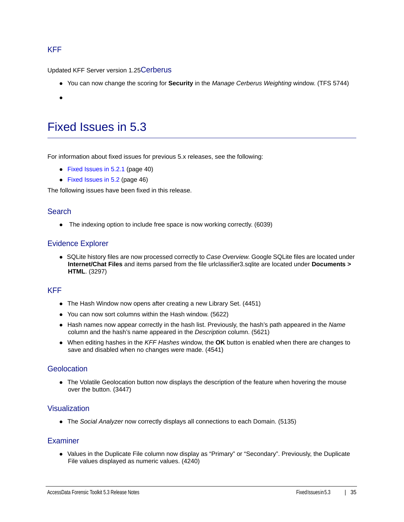### KFF

Updated KFF Server version 1.25Cerberus

- You can now change the scoring for **Security** in the *Manage Cerberus Weighting* window. (TFS 5744)
- <span id="page-34-1"></span> $\bullet$

## <span id="page-34-0"></span>Fixed Issues in 5.3

For information about fixed issues for previous 5.x releases, see the following:

- [Fixed Issues in 5.2.1 \(page 40\)](#page-39-0)
- [Fixed Issues in 5.2 \(page 46\)](#page-45-0)

The following issues have been fixed in this release.

#### **Search**

• The indexing option to include free space is now working correctly. (6039)

#### Evidence Explorer

SQLite history files are now processed correctly to *Case Overview*. Google SQLite files are located under **Internet/Chat Files** and items parsed from the file urlclassifier3.sqlite are located under **Documents > HTML**. (3297)

### KFF

- The Hash Window now opens after creating a new Library Set. (4451)
- You can now sort columns within the Hash window. (5622)
- Hash names now appear correctly in the hash list. Previously, the hash's path appeared in the *Name* column and the hash's name appeared in the *Description* column. (5621)
- When editing hashes in the *KFF Hashes* window, the **OK** button is enabled when there are changes to save and disabled when no changes were made. (4541)

#### **Geolocation**

• The Volatile Geolocation button now displays the description of the feature when hovering the mouse over the button. (3447)

#### Visualization

The *Social Analyzer* now correctly displays all connections to each Domain. (5135)

#### Examiner

• Values in the Duplicate File column now display as "Primary" or "Secondary". Previously, the Duplicate File values displayed as numeric values. (4240)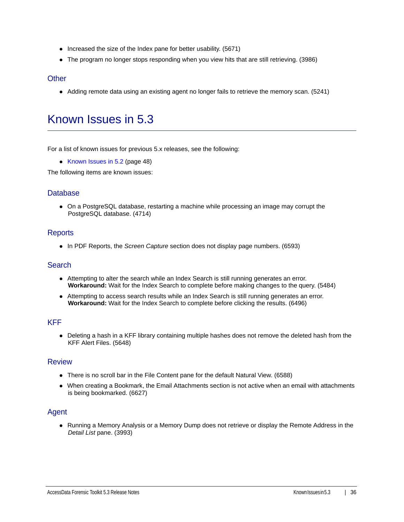- $\bullet$  Increased the size of the Index pane for better usability. (5671)
- The program no longer stops responding when you view hits that are still retrieving. (3986)

### **Other**

• Adding remote data using an existing agent no longer fails to retrieve the memory scan. (5241)

## <span id="page-35-0"></span>Known Issues in 5.3

For a list of known issues for previous 5.x releases, see the following:

• [Known Issues in 5.2 \(page 48\)](#page-47-0)

The following items are known issues:

#### **Database**

On a PostgreSQL database, restarting a machine while processing an image may corrupt the PostgreSQL database. (4714)

#### **Reports**

In PDF Reports, the *Screen Capture* section does not display page numbers. (6593)

### **Search**

- Attempting to alter the search while an Index Search is still running generates an error. **Workaround:** Wait for the Index Search to complete before making changes to the query. (5484)
- Attempting to access search results while an Index Search is still running generates an error. **Workaround:** Wait for the Index Search to complete before clicking the results. (6496)

#### KFF

Deleting a hash in a KFF library containing multiple hashes does not remove the deleted hash from the KFF Alert Files. (5648)

#### Review

- There is no scroll bar in the File Content pane for the default Natural View. (6588)
- When creating a Bookmark, the Email Attachments section is not active when an email with attachments is being bookmarked. (6627)

#### Agent

• Running a Memory Analysis or a Memory Dump does not retrieve or display the Remote Address in the *Detail List* pane. (3993)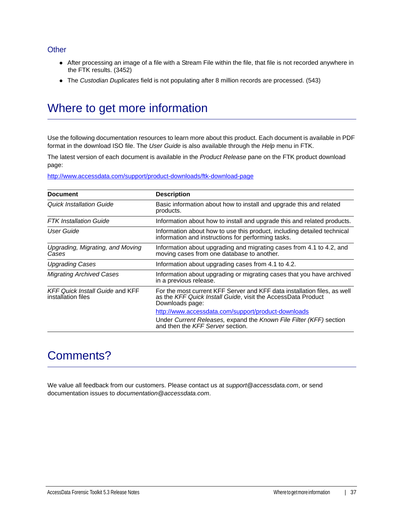### **Other**

- After processing an image of a file with a Stream File within the file, that file is not recorded anywhere in the FTK results. (3452)
- The *Custodian Duplicates* field is not populating after 8 million records are processed. (543)

## Where to get more information

Use the following documentation resources to learn more about this product. Each document is available in PDF format in the download ISO file. The *User Guide* is also available through the *Help* menu in FTK.

The latest version of each document is available in the *Product Release* pane on the FTK product download page:

http://www.accessdata.com/support/product-downloads/ftk-download-page

| <b>Document</b>                                              | <b>Description</b>                                                                                                                                          |
|--------------------------------------------------------------|-------------------------------------------------------------------------------------------------------------------------------------------------------------|
| Quick Installation Guide                                     | Basic information about how to install and upgrade this and related<br>products.                                                                            |
| <b>FTK</b> Installation Guide                                | Information about how to install and upgrade this and related products.                                                                                     |
| User Guide                                                   | Information about how to use this product, including detailed technical<br>information and instructions for performing tasks.                               |
| Upgrading, Migrating, and Moving<br>Cases                    | Information about upgrading and migrating cases from 4.1 to 4.2, and<br>moving cases from one database to another.                                          |
| <b>Upgrading Cases</b>                                       | Information about upgrading cases from 4.1 to 4.2.                                                                                                          |
| <b>Migrating Archived Cases</b>                              | Information about upgrading or migrating cases that you have archived<br>in a previous release.                                                             |
| <b>KFF Quick Install Guide and KFF</b><br>installation files | For the most current KFF Server and KFF data installation files, as well<br>as the KFF Quick Install Guide, visit the AccessData Product<br>Downloads page: |
|                                                              | http://www.accessdata.com/support/product-downloads                                                                                                         |
|                                                              | Under Current Releases, expand the Known File Filter (KFF) section<br>and then the KFF Server section.                                                      |

## Comments?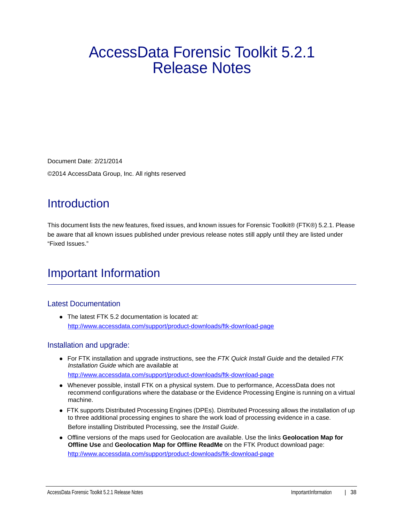# AccessData Forensic Toolkit 5.2.1 Release Notes

Document Date: 2/21/2014 ©2014 AccessData Group, Inc. All rights reserved

## **Introduction**

This document lists the new features, fixed issues, and known issues for Forensic Toolkit® (FTK®) 5.2.1. Please be aware that all known issues published under previous release notes still apply until they are listed under "Fixed Issues."

## Important Information

## Latest Documentation

• The latest FTK 5.2 documentation is located at: http://www.accessdata.com/support/product-downloads/ftk-download-page

## Installation and upgrade:

- For FTK installation and upgrade instructions, see the *FTK Quick Install Guide* and the detailed *FTK Installation Guide* which are available at http://www.accessdata.com/support/product-downloads/ftk-download-page
- Whenever possible, install FTK on a physical system. Due to performance, AccessData does not recommend configurations where the database or the Evidence Processing Engine is running on a virtual machine.
- FTK supports Distributed Processing Engines (DPEs). Distributed Processing allows the installation of up to three additional processing engines to share the work load of processing evidence in a case. Before installing Distributed Processing, see the *Install Guide*.
- Offline versions of the maps used for Geolocation are available. Use the links **Geolocation Map for Offline Use** and **Geolocation Map for Offline ReadMe** on the FTK Product download page: http://www.accessdata.com/support/product-downloads/ftk-download-page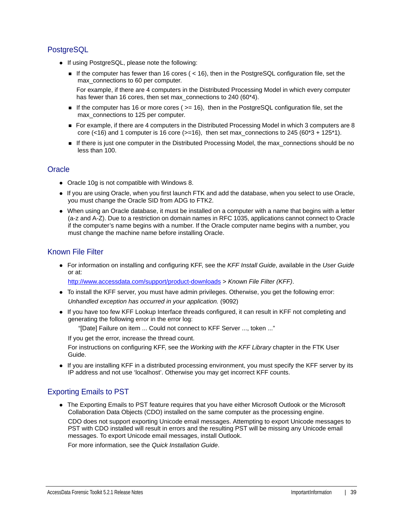## **PostgreSQL**

- If using PostgreSQL, please note the following:
	- If the computer has fewer than 16 cores ( $<$  16), then in the PostgreSQL configuration file, set the max connections to 60 per computer.

For example, if there are 4 computers in the Distributed Processing Model in which every computer has fewer than 16 cores, then set max\_connections to 240 (60\*4).

- If the computer has 16 or more cores ( $>= 16$ ), then in the PostgreSQL configuration file, set the max\_connections to 125 per computer.
- For example, if there are 4 computers in the Distributed Processing Model in which 3 computers are 8 core (<16) and 1 computer is 16 core ( $>=16$ ), then set max\_connections to 245 ( $60*3 + 125*1$ ).
- If there is just one computer in the Distributed Processing Model, the max\_connections should be no less than 100.

### **Oracle**

- Oracle 10g is not compatible with Windows 8.
- If you are using Oracle, when you first launch FTK and add the database, when you select to use Oracle, you must change the Oracle SID from ADG to FTK2.
- When using an Oracle database, it must be installed on a computer with a name that begins with a letter (a-z and A-Z). Due to a restriction on domain names in RFC 1035, applications cannot connect to Oracle if the computer's name begins with a number. If the Oracle computer name begins with a number, you must change the machine name before installing Oracle.

## Known File Filter

For information on installing and configuring KFF, see the *KFF Install Guide*, available in the *User Guide* or at:

<http://www.accessdata.com/support/product-downloads>> *Known File Filter (KFF)*.

- To install the KFF server, you must have admin privileges. Otherwise, you get the following error: *Unhandled exception has occurred in your application.* (9092)
- If you have too few KFF Lookup Interface threads configured, it can result in KFF not completing and generating the following error in the error log:

"[Date] Failure on item ... Could not connect to KFF Server ..., token ..."

If you get the error, increase the thread count.

For instructions on configuring KFF, see the *Working with the KFF Library* chapter in the FTK User Guide.

If you are installing KFF in a distributed processing environment, you must specify the KFF server by its IP address and not use 'localhost'. Otherwise you may get incorrect KFF counts.

## Exporting Emails to PST

The Exporting Emails to PST feature requires that you have either Microsoft Outlook or the Microsoft Collaboration Data Objects (CDO) installed on the same computer as the processing engine.

CDO does not support exporting Unicode email messages. Attempting to export Unicode messages to PST with CDO installed will result in errors and the resulting PST will be missing any Unicode email messages. To export Unicode email messages, install Outlook.

For more information, see the *Quick Installation Guide*.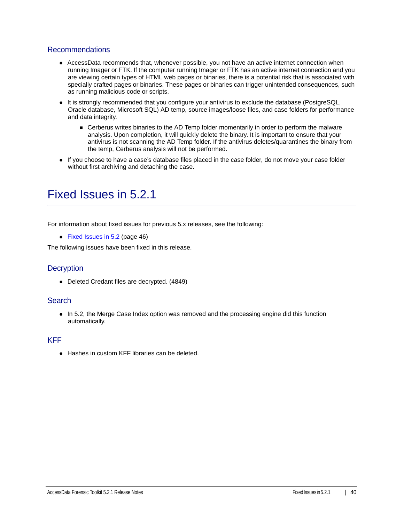### Recommendations

- AccessData recommends that, whenever possible, you not have an active internet connection when running Imager or FTK. If the computer running Imager or FTK has an active internet connection and you are viewing certain types of HTML web pages or binaries, there is a potential risk that is associated with specially crafted pages or binaries. These pages or binaries can trigger unintended consequences, such as running malicious code or scripts.
- It is strongly recommended that you configure your antivirus to exclude the database (PostgreSQL, Oracle database, Microsoft SQL) AD temp, source images/loose files, and case folders for performance and data integrity.
	- **Cerberus writes binaries to the AD Temp folder momentarily in order to perform the malware** analysis. Upon completion, it will quickly delete the binary. It is important to ensure that your antivirus is not scanning the AD Temp folder. If the antivirus deletes/quarantines the binary from the temp, Cerberus analysis will not be performed.
- If you choose to have a case's database files placed in the case folder, do not move your case folder without first archiving and detaching the case.

## <span id="page-39-0"></span>Fixed Issues in 5.2.1

For information about fixed issues for previous 5.x releases, see the following:

• [Fixed Issues in 5.2 \(page 46\)](#page-45-0)

The following issues have been fixed in this release.

### **Decryption**

Deleted Credant files are decrypted. (4849)

#### **Search**

• In 5.2, the Merge Case Index option was removed and the processing engine did this function automatically.

#### KFF

● Hashes in custom KFF libraries can be deleted.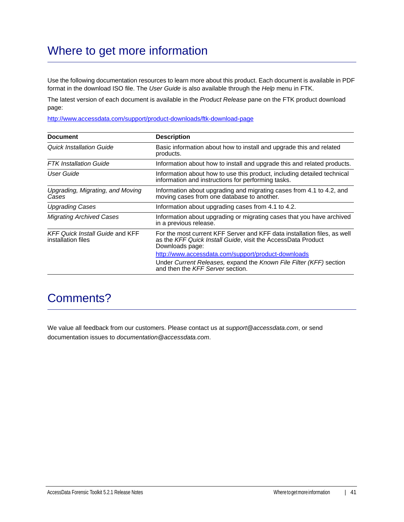## Where to get more information

Use the following documentation resources to learn more about this product. Each document is available in PDF format in the download ISO file. The *User Guide* is also available through the *Help* menu in FTK.

The latest version of each document is available in the *Product Release* pane on the FTK product download page:

http://www.accessdata.com/support/product-downloads/ftk-download-page

| <b>Document</b>                                              | <b>Description</b>                                                                                                                                          |
|--------------------------------------------------------------|-------------------------------------------------------------------------------------------------------------------------------------------------------------|
| Quick Installation Guide                                     | Basic information about how to install and upgrade this and related<br>products.                                                                            |
| <b>FTK</b> Installation Guide                                | Information about how to install and upgrade this and related products.                                                                                     |
| User Guide                                                   | Information about how to use this product, including detailed technical<br>information and instructions for performing tasks.                               |
| Upgrading, Migrating, and Moving<br>Cases                    | Information about upgrading and migrating cases from 4.1 to 4.2, and<br>moving cases from one database to another.                                          |
| <b>Upgrading Cases</b>                                       | Information about upgrading cases from 4.1 to 4.2.                                                                                                          |
| <b>Migrating Archived Cases</b>                              | Information about upgrading or migrating cases that you have archived<br>in a previous release.                                                             |
| <b>KFF Quick Install Guide and KFF</b><br>installation files | For the most current KFF Server and KFF data installation files, as well<br>as the KFF Quick Install Guide, visit the AccessData Product<br>Downloads page: |
|                                                              | http://www.accessdata.com/support/product-downloads                                                                                                         |
|                                                              | Under Current Releases, expand the Known File Filter (KFF) section<br>and then the KFF Server section.                                                      |

## Comments?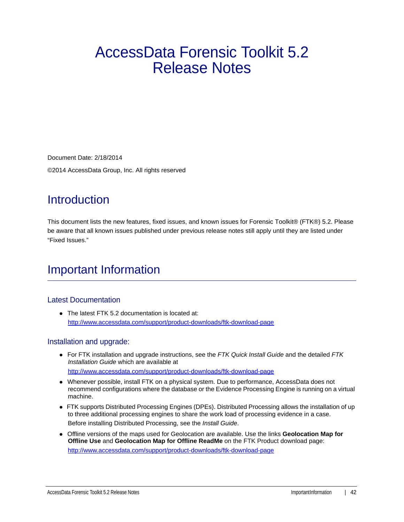# AccessData Forensic Toolkit 5.2 Release Notes

Document Date: 2/18/2014

©2014 AccessData Group, Inc. All rights reserved

## **Introduction**

This document lists the new features, fixed issues, and known issues for Forensic Toolkit® (FTK®) 5.2. Please be aware that all known issues published under previous release notes still apply until they are listed under "Fixed Issues."

## Important Information

### Latest Documentation

• The latest FTK 5.2 documentation is located at: http://www.accessdata.com/support/product-downloads/ftk-download-page

### Installation and upgrade:

- For FTK installation and upgrade instructions, see the *FTK Quick Install Guide* and the detailed *FTK Installation Guide* which are available at http://www.accessdata.com/support/product-downloads/ftk-download-page
- Whenever possible, install FTK on a physical system. Due to performance, AccessData does not recommend configurations where the database or the Evidence Processing Engine is running on a virtual machine.
- FTK supports Distributed Processing Engines (DPEs). Distributed Processing allows the installation of up to three additional processing engines to share the work load of processing evidence in a case. Before installing Distributed Processing, see the *Install Guide*.
- Offline versions of the maps used for Geolocation are available. Use the links **Geolocation Map for Offline Use** and **Geolocation Map for Offline ReadMe** on the FTK Product download page: http://www.accessdata.com/support/product-downloads/ftk-download-page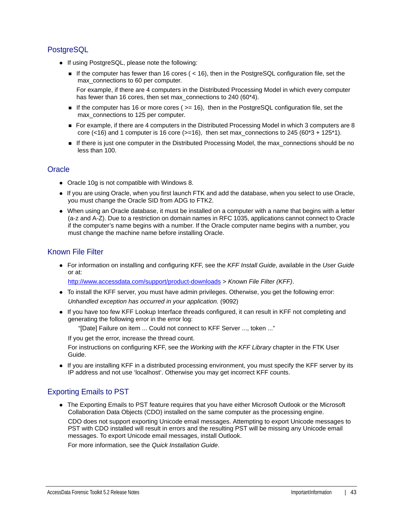## **PostgreSQL**

- If using PostgreSQL, please note the following:
	- If the computer has fewer than 16 cores ( $<$  16), then in the PostgreSQL configuration file, set the max connections to 60 per computer.

For example, if there are 4 computers in the Distributed Processing Model in which every computer has fewer than 16 cores, then set max\_connections to 240 (60\*4).

- If the computer has 16 or more cores ( $>= 16$ ), then in the PostgreSQL configuration file, set the max\_connections to 125 per computer.
- For example, if there are 4 computers in the Distributed Processing Model in which 3 computers are 8 core (<16) and 1 computer is 16 core ( $>=16$ ), then set max\_connections to 245 ( $60*3 + 125*1$ ).
- If there is just one computer in the Distributed Processing Model, the max\_connections should be no less than 100.

### **Oracle**

- Oracle 10g is not compatible with Windows 8.
- If you are using Oracle, when you first launch FTK and add the database, when you select to use Oracle, you must change the Oracle SID from ADG to FTK2.
- When using an Oracle database, it must be installed on a computer with a name that begins with a letter (a-z and A-Z). Due to a restriction on domain names in RFC 1035, applications cannot connect to Oracle if the computer's name begins with a number. If the Oracle computer name begins with a number, you must change the machine name before installing Oracle.

## Known File Filter

For information on installing and configuring KFF, see the *KFF Install Guide*, available in the *User Guide* or at:

<http://www.accessdata.com/support/product-downloads>> *Known File Filter (KFF)*.

- To install the KFF server, you must have admin privileges. Otherwise, you get the following error: *Unhandled exception has occurred in your application.* (9092)
- If you have too few KFF Lookup Interface threads configured, it can result in KFF not completing and generating the following error in the error log:

"[Date] Failure on item ... Could not connect to KFF Server ..., token ..."

If you get the error, increase the thread count.

For instructions on configuring KFF, see the *Working with the KFF Library* chapter in the FTK User Guide.

If you are installing KFF in a distributed processing environment, you must specify the KFF server by its IP address and not use 'localhost'. Otherwise you may get incorrect KFF counts.

## Exporting Emails to PST

The Exporting Emails to PST feature requires that you have either Microsoft Outlook or the Microsoft Collaboration Data Objects (CDO) installed on the same computer as the processing engine.

CDO does not support exporting Unicode email messages. Attempting to export Unicode messages to PST with CDO installed will result in errors and the resulting PST will be missing any Unicode email messages. To export Unicode email messages, install Outlook.

For more information, see the *Quick Installation Guide*.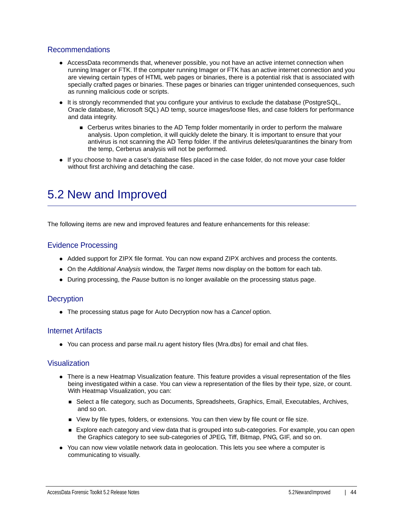### Recommendations

- AccessData recommends that, whenever possible, you not have an active internet connection when running Imager or FTK. If the computer running Imager or FTK has an active internet connection and you are viewing certain types of HTML web pages or binaries, there is a potential risk that is associated with specially crafted pages or binaries. These pages or binaries can trigger unintended consequences, such as running malicious code or scripts.
- It is strongly recommended that you configure your antivirus to exclude the database (PostgreSQL, Oracle database, Microsoft SQL) AD temp, source images/loose files, and case folders for performance and data integrity.
	- **EXEC** Cerberus writes binaries to the AD Temp folder momentarily in order to perform the malware analysis. Upon completion, it will quickly delete the binary. It is important to ensure that your antivirus is not scanning the AD Temp folder. If the antivirus deletes/quarantines the binary from the temp, Cerberus analysis will not be performed.
- If you choose to have a case's database files placed in the case folder, do not move your case folder without first archiving and detaching the case.

## <span id="page-43-0"></span>5.2 New and Improved

The following items are new and improved features and feature enhancements for this release:

#### Evidence Processing

- Added support for ZIPX file format. You can now expand ZIPX archives and process the contents.
- On the *Additional Analysis* window, the *Target Items* now display on the bottom for each tab.
- During processing, the *Pause* button is no longer available on the processing status page.

#### **Decryption**

The processing status page for Auto Decryption now has a *Cancel* option.

#### Internet Artifacts

You can process and parse mail.ru agent history files (Mra.dbs) for email and chat files.

#### Visualization

- There is a new Heatmap Visualization feature. This feature provides a visual representation of the files being investigated within a case. You can view a representation of the files by their type, size, or count. With Heatmap Visualization, you can:
	- **Select a file category, such as Documents, Spreadsheets, Graphics, Email, Executables, Archives,** and so on.
	- View by file types, folders, or extensions. You can then view by file count or file size.
	- **Explore each category and view data that is grouped into sub-categories. For example, you can open** the Graphics category to see sub-categories of JPEG, Tiff, Bitmap, PNG, GIF, and so on.
- You can now view volatile network data in geolocation. This lets you see where a computer is communicating to visually.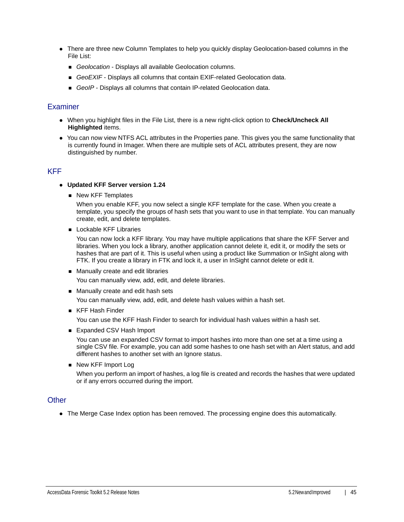- There are three new Column Templates to help you quickly display Geolocation-based columns in the File List:
	- *Geolocation* Displays all available Geolocation columns.
	- **GeoEXIF** Displays all columns that contain EXIF-related Geolocation data.
	- *GeoIP* Displays all columns that contain IP-related Geolocation data.

#### **Examiner**

- When you highlight files in the File List, there is a new right-click option to **Check/Uncheck All Highlighted** items.
- You can now view NTFS ACL attributes in the Properties pane. This gives you the same functionality that is currently found in Imager. When there are multiple sets of ACL attributes present, they are now distinguished by number.

## KFF

- **Updated KFF Server version 1.24**
	- New KFF Templates

When you enable KFF, you now select a single KFF template for the case. When you create a template, you specify the groups of hash sets that you want to use in that template. You can manually create, edit, and delete templates.

**Lockable KFF Libraries** 

You can now lock a KFF library. You may have multiple applications that share the KFF Server and libraries. When you lock a library, another application cannot delete it, edit it, or modify the sets or hashes that are part of it. This is useful when using a product like Summation or InSight along with FTK. If you create a library in FTK and lock it, a user in InSight cannot delete or edit it.

- **Manually create and edit libraries** You can manually view, add, edit, and delete libraries.
- Manually create and edit hash sets

You can manually view, add, edit, and delete hash values within a hash set.

■ KFF Hash Finder

You can use the KFF Hash Finder to search for individual hash values within a hash set.

■ Expanded CSV Hash Import

You can use an expanded CSV format to import hashes into more than one set at a time using a single CSV file. For example, you can add some hashes to one hash set with an Alert status, and add different hashes to another set with an Ignore status.

■ New KFF Import Log

When you perform an import of hashes, a log file is created and records the hashes that were updated or if any errors occurred during the import.

### **Other**

The Merge Case Index option has been removed. The processing engine does this automatically.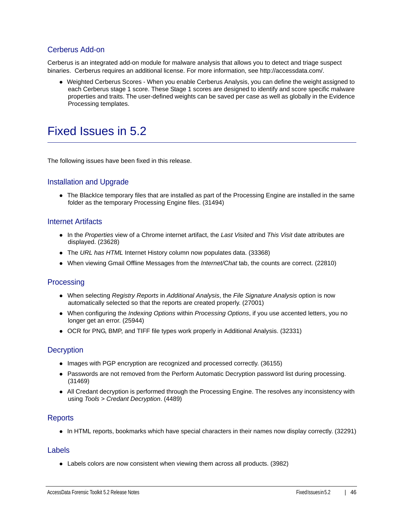## Cerberus Add-on

Cerberus is an integrated add-on module for malware analysis that allows you to detect and triage suspect binaries. Cerberus requires an additional license. For more information, see http://accessdata.com/.

Weighted Cerberus Scores - When you enable Cerberus Analysis, you can define the weight assigned to each Cerberus stage 1 score. These Stage 1 scores are designed to identify and score specific malware properties and traits. The user-defined weights can be saved per case as well as globally in the Evidence Processing templates.

## <span id="page-45-0"></span>Fixed Issues in 5.2

The following issues have been fixed in this release.

## Installation and Upgrade

The BlackIce temporary files that are installed as part of the Processing Engine are installed in the same folder as the temporary Processing Engine files. (31494)

#### Internet Artifacts

- In the *Properties* view of a Chrome internet artifact, the *Last Visited* and *This Visit* date attributes are displayed. (23628)
- The *URL has HTML* Internet History column now populates data. (33368)
- When viewing Gmail Offline Messages from the *Internet/Chat* tab, the counts are correct. (22810)

### **Processing**

- When selecting *Registry Reports* in *Additional Analysis*, the *File Signature Analysis* option is now automatically selected so that the reports are created properly. (27001)
- When configuring the *Indexing Options* within *Processing Options*, if you use accented letters, you no longer get an error. (25944)
- OCR for PNG, BMP, and TIFF file types work properly in Additional Analysis. (32331)

### **Decryption**

- Images with PGP encryption are recognized and processed correctly. (36155)
- Passwords are not removed from the Perform Automatic Decryption password list during processing. (31469)
- All Credant decryption is performed through the Processing Engine. The resolves any inconsistency with using *Tools > Credant Decryption*. (4489)

#### **Reports**

• In HTML reports, bookmarks which have special characters in their names now display correctly. (32291)

#### Labels

Labels colors are now consistent when viewing them across all products. (3982)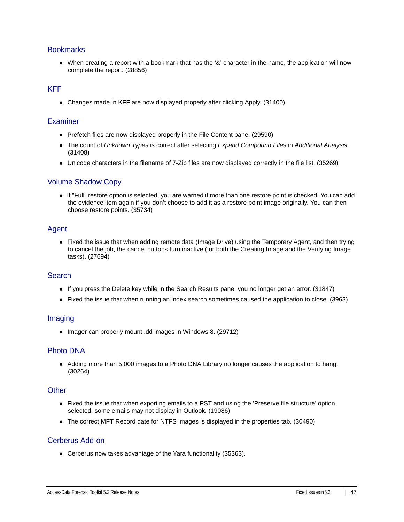### **Bookmarks**

When creating a report with a bookmark that has the '&' character in the name, the application will now complete the report. (28856)

### KFF

Changes made in KFF are now displayed properly after clicking Apply. (31400)

#### **Examiner**

- Prefetch files are now displayed properly in the File Content pane. (29590)
- The count of *Unknown Types* is correct after selecting *Expand Compound Files* in *Additional Analysis*. (31408)
- Unicode characters in the filename of 7-Zip files are now displayed correctly in the file list. (35269)

#### Volume Shadow Copy

If "Full" restore option is selected, you are warned if more than one restore point is checked. You can add the evidence item again if you don't choose to add it as a restore point image originally. You can then choose restore points. (35734)

#### Agent

• Fixed the issue that when adding remote data (Image Drive) using the Temporary Agent, and then trying to cancel the job, the cancel buttons turn inactive (for both the Creating Image and the Verifying Image tasks). (27694)

#### **Search**

- If you press the Delete key while in the Search Results pane, you no longer get an error. (31847)
- Fixed the issue that when running an index search sometimes caused the application to close. (3963)

#### Imaging

• Imager can properly mount .dd images in Windows 8. (29712)

### Photo DNA

Adding more than 5,000 images to a Photo DNA Library no longer causes the application to hang. (30264)

#### **Other**

- Fixed the issue that when exporting emails to a PST and using the 'Preserve file structure' option selected, some emails may not display in Outlook. (19086)
- The correct MFT Record date for NTFS images is displayed in the properties tab. (30490)

### Cerberus Add-on

Cerberus now takes advantage of the Yara functionality (35363).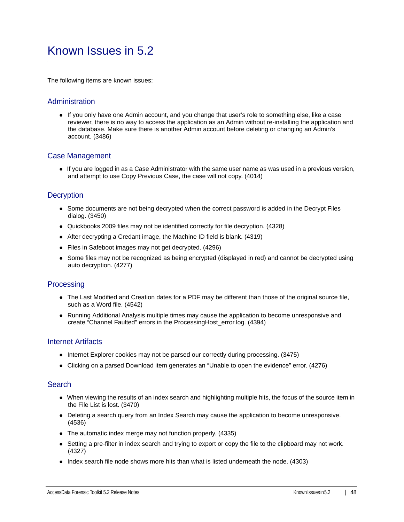## <span id="page-47-0"></span>Known Issues in 5.2

The following items are known issues:

### Administration

If you only have one Admin account, and you change that user's role to something else, like a case reviewer, there is no way to access the application as an Admin without re-installing the application and the database. Make sure there is another Admin account before deleting or changing an Admin's account. (3486)

#### Case Management

If you are logged in as a Case Administrator with the same user name as was used in a previous version, and attempt to use Copy Previous Case, the case will not copy. (4014)

#### **Decryption**

- Some documents are not being decrypted when the correct password is added in the Decrypt Files dialog. (3450)
- Quickbooks 2009 files may not be identified correctly for file decryption. (4328)
- After decrypting a Credant image, the Machine ID field is blank. (4319)
- Files in Safeboot images may not get decrypted. (4296)
- Some files may not be recognized as being encrypted (displayed in red) and cannot be decrypted using auto decryption. (4277)

#### **Processing**

- The Last Modified and Creation dates for a PDF may be different than those of the original source file, such as a Word file. (4542)
- Running Additional Analysis multiple times may cause the application to become unresponsive and create "Channel Faulted" errors in the ProcessingHost\_error.log. (4394)

#### Internet Artifacts

- Internet Explorer cookies may not be parsed our correctly during processing. (3475)
- Clicking on a parsed Download item generates an "Unable to open the evidence" error. (4276)

#### **Search**

- When viewing the results of an index search and highlighting multiple hits, the focus of the source item in the File List is lost. (3470)
- Deleting a search query from an Index Search may cause the application to become unresponsive. (4536)
- The automatic index merge may not function properly. (4335)
- Setting a pre-filter in index search and trying to export or copy the file to the clipboard may not work. (4327)
- Index search file node shows more hits than what is listed underneath the node. (4303)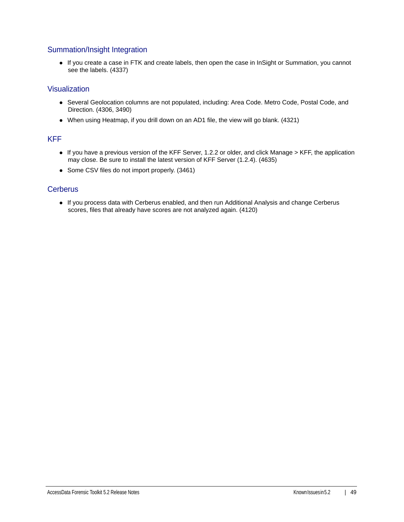## Summation/Insight Integration

If you create a case in FTK and create labels, then open the case in InSight or Summation, you cannot see the labels. (4337)

### Visualization

- Several Geolocation columns are not populated, including: Area Code. Metro Code, Postal Code, and Direction. (4306, 3490)
- When using Heatmap, if you drill down on an AD1 file, the view will go blank. (4321)

### KFF

- If you have a previous version of the KFF Server, 1.2.2 or older, and click Manage > KFF, the application may close. Be sure to install the latest version of KFF Server (1.2.4). (4635)
- Some CSV files do not import properly. (3461)

## **Cerberus**

If you process data with Cerberus enabled, and then run Additional Analysis and change Cerberus scores, files that already have scores are not analyzed again. (4120)